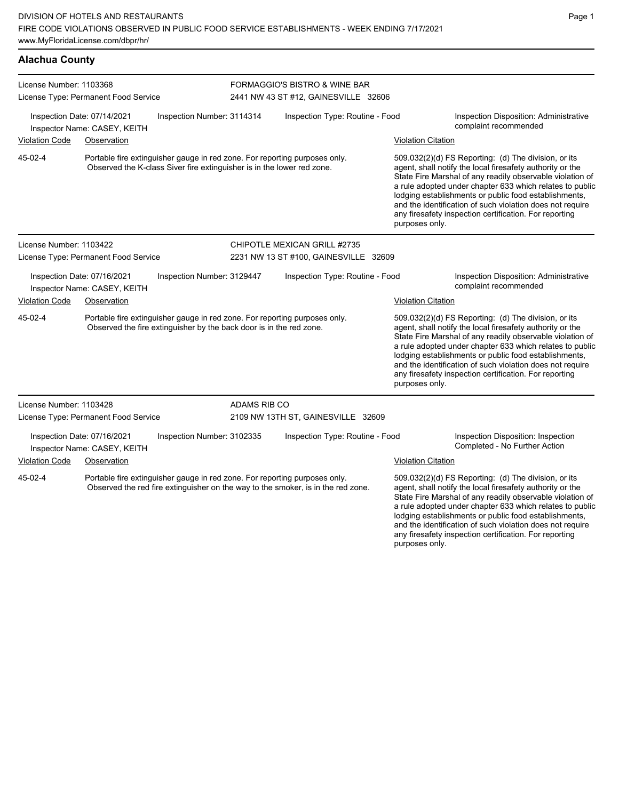| <b>Alachua County</b>                                                                     |                                                                                                                                                   |                                                                            |                                       |                                                                                                                                                                                                                                                                                                                                                                                                                            |                                                                     |                                                                                                                                                                                                                                                                                                     |
|-------------------------------------------------------------------------------------------|---------------------------------------------------------------------------------------------------------------------------------------------------|----------------------------------------------------------------------------|---------------------------------------|----------------------------------------------------------------------------------------------------------------------------------------------------------------------------------------------------------------------------------------------------------------------------------------------------------------------------------------------------------------------------------------------------------------------------|---------------------------------------------------------------------|-----------------------------------------------------------------------------------------------------------------------------------------------------------------------------------------------------------------------------------------------------------------------------------------------------|
| License Number: 1103368                                                                   | License Type: Permanent Food Service                                                                                                              |                                                                            |                                       | FORMAGGIO'S BISTRO & WINE BAR<br>2441 NW 43 ST #12, GAINESVILLE 32606                                                                                                                                                                                                                                                                                                                                                      |                                                                     |                                                                                                                                                                                                                                                                                                     |
|                                                                                           | Inspection Date: 07/14/2021<br>Inspector Name: CASEY, KEITH                                                                                       | Inspection Number: 3114314                                                 |                                       | Inspection Type: Routine - Food                                                                                                                                                                                                                                                                                                                                                                                            |                                                                     | Inspection Disposition: Administrative<br>complaint recommended                                                                                                                                                                                                                                     |
| Violation Code                                                                            | Observation                                                                                                                                       |                                                                            |                                       |                                                                                                                                                                                                                                                                                                                                                                                                                            | <b>Violation Citation</b>                                           |                                                                                                                                                                                                                                                                                                     |
| 45-02-4                                                                                   |                                                                                                                                                   |                                                                            |                                       | Portable fire extinguisher gauge in red zone. For reporting purposes only.<br>509.032(2)(d) FS Reporting: (d) The division, or its<br>Observed the K-class Siver fire extinguisher is in the lower red zone.<br>agent, shall notify the local firesafety authority or the<br>lodging establishments or public food establishments,<br>any firesafety inspection certification. For reporting<br>purposes only.             |                                                                     | State Fire Marshal of any readily observable violation of<br>a rule adopted under chapter 633 which relates to public<br>and the identification of such violation does not require                                                                                                                  |
| License Number: 1103422                                                                   |                                                                                                                                                   |                                                                            |                                       | CHIPOTLE MEXICAN GRILL #2735                                                                                                                                                                                                                                                                                                                                                                                               |                                                                     |                                                                                                                                                                                                                                                                                                     |
|                                                                                           | License Type: Permanent Food Service                                                                                                              |                                                                            | 2231 NW 13 ST #100, GAINESVILLE 32609 |                                                                                                                                                                                                                                                                                                                                                                                                                            |                                                                     |                                                                                                                                                                                                                                                                                                     |
|                                                                                           | Inspection Date: 07/16/2021<br>Inspector Name: CASEY, KEITH                                                                                       | Inspection Number: 3129447                                                 |                                       | Inspection Type: Routine - Food                                                                                                                                                                                                                                                                                                                                                                                            |                                                                     | Inspection Disposition: Administrative<br>complaint recommended                                                                                                                                                                                                                                     |
| <b>Violation Code</b>                                                                     | Observation                                                                                                                                       |                                                                            |                                       |                                                                                                                                                                                                                                                                                                                                                                                                                            | <b>Violation Citation</b>                                           |                                                                                                                                                                                                                                                                                                     |
| 45-02-4                                                                                   | Portable fire extinguisher gauge in red zone. For reporting purposes only.<br>Observed the fire extinguisher by the back door is in the red zone. |                                                                            | purposes only.                        | 509.032(2)(d) FS Reporting: (d) The division, or its<br>agent, shall notify the local firesafety authority or the<br>State Fire Marshal of any readily observable violation of<br>a rule adopted under chapter 633 which relates to public<br>lodging establishments or public food establishments,<br>and the identification of such violation does not require<br>any firesafety inspection certification. For reporting |                                                                     |                                                                                                                                                                                                                                                                                                     |
| License Number: 1103428                                                                   |                                                                                                                                                   |                                                                            | ADAMS RIB CO                          |                                                                                                                                                                                                                                                                                                                                                                                                                            |                                                                     |                                                                                                                                                                                                                                                                                                     |
|                                                                                           | License Type: Permanent Food Service                                                                                                              |                                                                            |                                       | 2109 NW 13TH ST, GAINESVILLE 32609                                                                                                                                                                                                                                                                                                                                                                                         |                                                                     |                                                                                                                                                                                                                                                                                                     |
| Inspection Date: 07/16/2021<br>Inspection Number: 3102335<br>Inspector Name: CASEY, KEITH |                                                                                                                                                   |                                                                            | Inspection Type: Routine - Food       |                                                                                                                                                                                                                                                                                                                                                                                                                            | Inspection Disposition: Inspection<br>Completed - No Further Action |                                                                                                                                                                                                                                                                                                     |
| <b>Violation Code</b>                                                                     | Observation                                                                                                                                       |                                                                            |                                       |                                                                                                                                                                                                                                                                                                                                                                                                                            | <b>Violation Citation</b>                                           |                                                                                                                                                                                                                                                                                                     |
| 45-02-4                                                                                   |                                                                                                                                                   | Portable fire extinguisher gauge in red zone. For reporting purposes only. |                                       | Observed the red fire extinguisher on the way to the smoker, is in the red zone.                                                                                                                                                                                                                                                                                                                                           |                                                                     | 509.032(2)(d) FS Reporting: (d) The division, or its<br>agent, shall notify the local firesafety authority or the<br>State Fire Marshal of any readily observable violation of<br>a rule adopted under chapter 633 which relates to public<br>lodging establishments or public food establishments, |

and the identification of such violation does not require any firesafety inspection certification. For reporting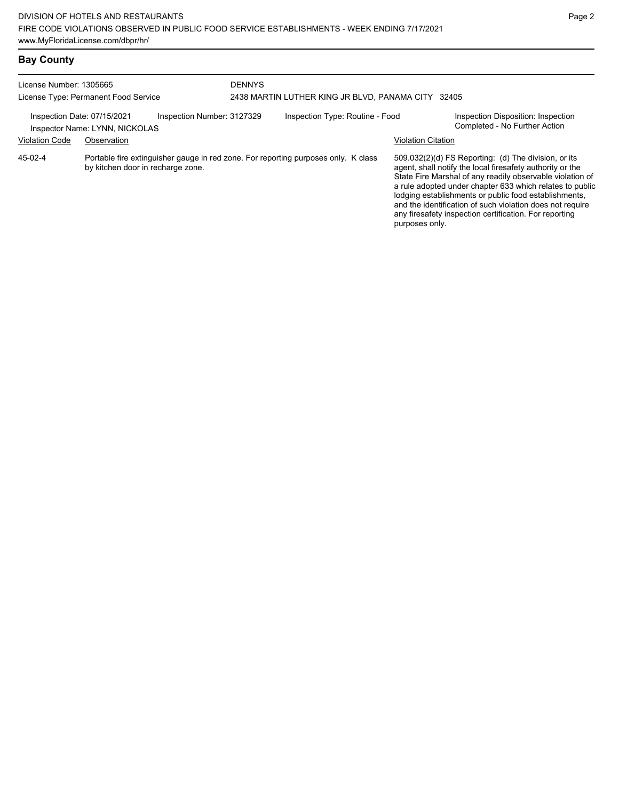| License Number: 1305665<br>License Type: Permanent Food Service |                                                                                                                         | <b>DENNYS</b>              | 2438 MARTIN LUTHER KING JR BLVD, PANAMA CITY | 32405                           |                           |                                                                                                                                                                                                                                                                                                                                                                                                                            |
|-----------------------------------------------------------------|-------------------------------------------------------------------------------------------------------------------------|----------------------------|----------------------------------------------|---------------------------------|---------------------------|----------------------------------------------------------------------------------------------------------------------------------------------------------------------------------------------------------------------------------------------------------------------------------------------------------------------------------------------------------------------------------------------------------------------------|
| Inspection Date: 07/15/2021                                     | Inspector Name: LYNN, NICKOLAS                                                                                          | Inspection Number: 3127329 |                                              | Inspection Type: Routine - Food |                           | Inspection Disposition: Inspection<br>Completed - No Further Action                                                                                                                                                                                                                                                                                                                                                        |
| <b>Violation Code</b>                                           | Observation                                                                                                             |                            |                                              |                                 | <b>Violation Citation</b> |                                                                                                                                                                                                                                                                                                                                                                                                                            |
| 45-02-4                                                         | Portable fire extinguisher gauge in red zone. For reporting purposes only. K class<br>by kitchen door in recharge zone. |                            |                                              |                                 | purposes only.            | 509.032(2)(d) FS Reporting: (d) The division, or its<br>agent, shall notify the local firesafety authority or the<br>State Fire Marshal of any readily observable violation of<br>a rule adopted under chapter 633 which relates to public<br>lodging establishments or public food establishments,<br>and the identification of such violation does not require<br>any firesafety inspection certification. For reporting |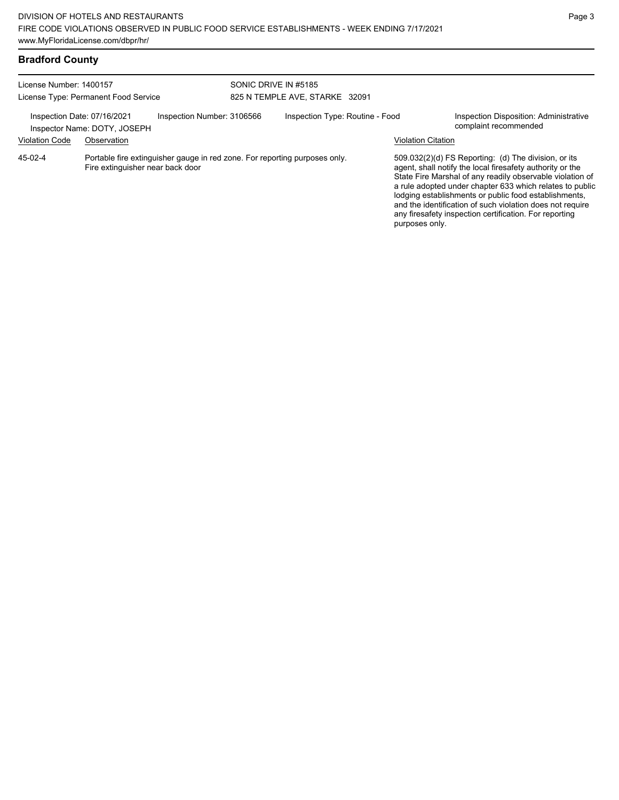| <b>Bradford County</b> |  |
|------------------------|--|
|------------------------|--|

| License Number: 1400157<br>License Type: Permanent Food Service |                                                                            | SONIC DRIVE IN #5185                                                       | 825 N TEMPLE AVE, STARKE 32091 |                                 |                           |                                                                                                                                                                                                                                                                                                                                                                                                                            |
|-----------------------------------------------------------------|----------------------------------------------------------------------------|----------------------------------------------------------------------------|--------------------------------|---------------------------------|---------------------------|----------------------------------------------------------------------------------------------------------------------------------------------------------------------------------------------------------------------------------------------------------------------------------------------------------------------------------------------------------------------------------------------------------------------------|
| <b>Violation Code</b>                                           | Inspection Date: 07/16/2021<br>Inspector Name: DOTY, JOSEPH<br>Observation | Inspection Number: 3106566                                                 |                                | Inspection Type: Routine - Food | <b>Violation Citation</b> | <b>Inspection Disposition: Administrative</b><br>complaint recommended                                                                                                                                                                                                                                                                                                                                                     |
| $45-02-4$                                                       | Fire extinguisher near back door                                           | Portable fire extinguisher gauge in red zone. For reporting purposes only. |                                |                                 | purposes only.            | 509.032(2)(d) FS Reporting: (d) The division, or its<br>agent, shall notify the local firesafety authority or the<br>State Fire Marshal of any readily observable violation of<br>a rule adopted under chapter 633 which relates to public<br>lodging establishments or public food establishments,<br>and the identification of such violation does not require<br>any firesafety inspection certification. For reporting |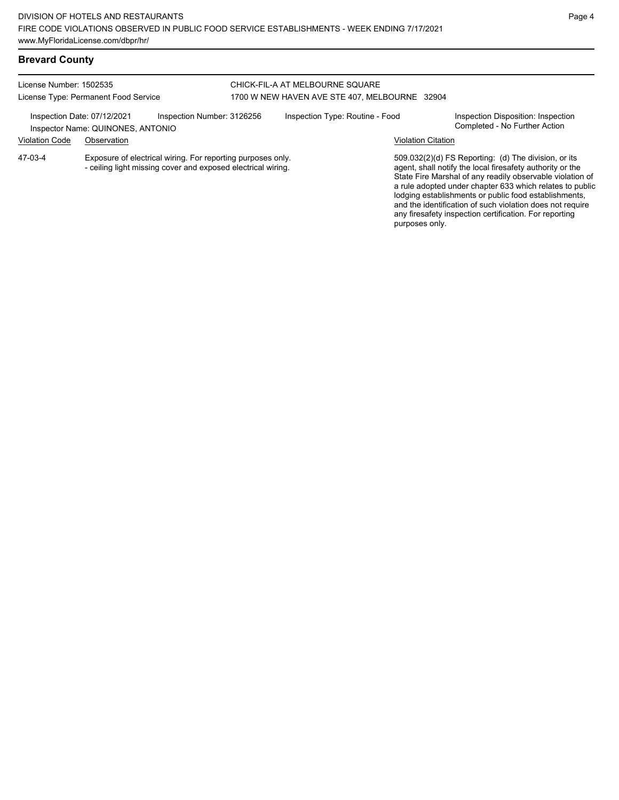any firesafety inspection certification. For reporting

purposes only.

## **Brevard County**

#### License Number: 1502535 License Type: Permanent Food Service CHICK-FIL-A AT MELBOURNE SQUARE 1700 W NEW HAVEN AVE STE 407, MELBOURNE 32904 Inspection Date: 07/12/2021 Inspection Number: 3126256 Inspection Type: Routine - Food Inspection Disposition: Inspection<br>Inspector Name: OLINONES ANTONIO Inspector Name: QUINONES, ANTONIO Violation Code Observation Violation Citation Exposure of electrical wiring. For reporting purposes only. - ceiling light missing cover and exposed electrical wiring. 509.032(2)(d) FS Reporting: (d) The division, or its agent, shall notify the local firesafety authority or the State Fire Marshal of any readily observable violation of a rule adopted under chapter 633 which relates to public lodging establishments or public food establishments, and the identification of such violation does not require 47-03-4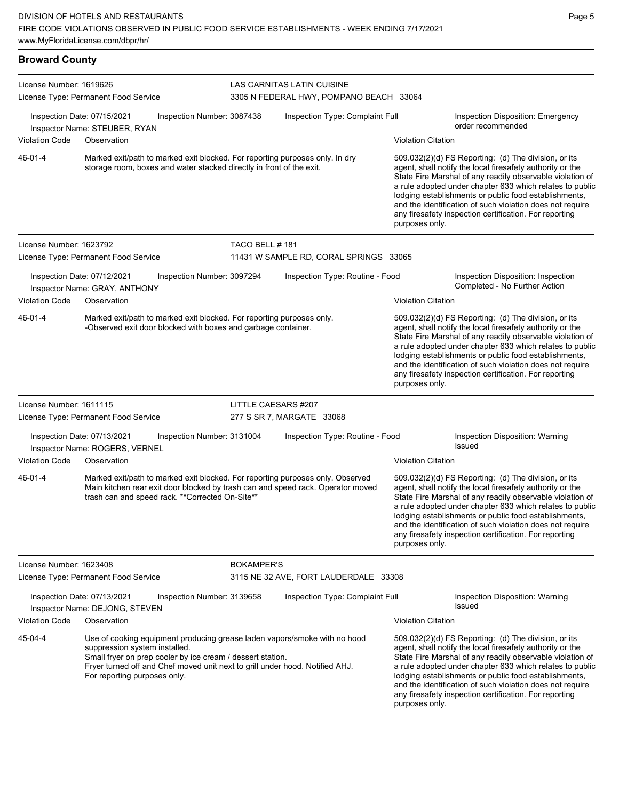| <b>Broward County</b> |  |
|-----------------------|--|
|                       |  |

| License Number: 1619626 | License Type: Permanent Food Service                                                                                                                                                                                                                                                     |                   | LAS CARNITAS LATIN CUISINE<br>3305 N FEDERAL HWY, POMPANO BEACH 33064 |                                                                                                                                                                                                                                                                                                                                                                                                                                              |  |  |
|-------------------------|------------------------------------------------------------------------------------------------------------------------------------------------------------------------------------------------------------------------------------------------------------------------------------------|-------------------|-----------------------------------------------------------------------|----------------------------------------------------------------------------------------------------------------------------------------------------------------------------------------------------------------------------------------------------------------------------------------------------------------------------------------------------------------------------------------------------------------------------------------------|--|--|
|                         | Inspection Date: 07/15/2021<br>Inspection Number: 3087438<br>Inspector Name: STEUBER, RYAN                                                                                                                                                                                               |                   | Inspection Type: Complaint Full                                       | Inspection Disposition: Emergency<br>order recommended                                                                                                                                                                                                                                                                                                                                                                                       |  |  |
| Violation Code          | Observation                                                                                                                                                                                                                                                                              |                   |                                                                       | <b>Violation Citation</b>                                                                                                                                                                                                                                                                                                                                                                                                                    |  |  |
| 46-01-4                 | Marked exit/path to marked exit blocked. For reporting purposes only. In dry<br>storage room, boxes and water stacked directly in front of the exit.                                                                                                                                     |                   |                                                                       | 509.032(2)(d) FS Reporting: (d) The division, or its<br>agent, shall notify the local firesafety authority or the<br>State Fire Marshal of any readily observable violation of<br>a rule adopted under chapter 633 which relates to public<br>lodging establishments or public food establishments,<br>and the identification of such violation does not require<br>any firesafety inspection certification. For reporting<br>purposes only. |  |  |
| License Number: 1623792 |                                                                                                                                                                                                                                                                                          | TACO BELL #181    |                                                                       |                                                                                                                                                                                                                                                                                                                                                                                                                                              |  |  |
|                         | License Type: Permanent Food Service                                                                                                                                                                                                                                                     |                   | 11431 W SAMPLE RD, CORAL SPRINGS 33065                                |                                                                                                                                                                                                                                                                                                                                                                                                                                              |  |  |
|                         | Inspection Date: 07/12/2021<br>Inspection Number: 3097294<br>Inspector Name: GRAY, ANTHONY                                                                                                                                                                                               |                   | Inspection Type: Routine - Food                                       | Inspection Disposition: Inspection<br>Completed - No Further Action                                                                                                                                                                                                                                                                                                                                                                          |  |  |
| Violation Code          | Observation                                                                                                                                                                                                                                                                              |                   |                                                                       | <b>Violation Citation</b>                                                                                                                                                                                                                                                                                                                                                                                                                    |  |  |
| 46-01-4                 | Marked exit/path to marked exit blocked. For reporting purposes only.<br>-Observed exit door blocked with boxes and garbage container.                                                                                                                                                   |                   |                                                                       | 509.032(2)(d) FS Reporting: (d) The division, or its<br>agent, shall notify the local firesafety authority or the<br>State Fire Marshal of any readily observable violation of<br>a rule adopted under chapter 633 which relates to public<br>lodging establishments or public food establishments,<br>and the identification of such violation does not require<br>any firesafety inspection certification. For reporting<br>purposes only. |  |  |
| License Number: 1611115 |                                                                                                                                                                                                                                                                                          |                   | LITTLE CAESARS #207                                                   |                                                                                                                                                                                                                                                                                                                                                                                                                                              |  |  |
|                         | License Type: Permanent Food Service                                                                                                                                                                                                                                                     |                   | 277 S SR 7, MARGATE 33068                                             |                                                                                                                                                                                                                                                                                                                                                                                                                                              |  |  |
|                         | Inspection Date: 07/13/2021<br>Inspection Number: 3131004<br>Inspector Name: ROGERS, VERNEL                                                                                                                                                                                              |                   | Inspection Type: Routine - Food                                       | Inspection Disposition: Warning<br><b>Issued</b>                                                                                                                                                                                                                                                                                                                                                                                             |  |  |
| Violation Code          | Observation                                                                                                                                                                                                                                                                              |                   |                                                                       | <b>Violation Citation</b>                                                                                                                                                                                                                                                                                                                                                                                                                    |  |  |
| 46-01-4                 | Marked exit/path to marked exit blocked. For reporting purposes only. Observed<br>Main kitchen rear exit door blocked by trash can and speed rack. Operator moved<br>trash can and speed rack. ** Corrected On-Site**                                                                    |                   |                                                                       | 509.032(2)(d) FS Reporting: (d) The division, or its<br>agent, shall notify the local firesafety authority or the<br>State Fire Marshal of any readily observable violation of<br>a rule adopted under chapter 633 which relates to public<br>lodging establishments or public food establishments,<br>and the identification of such violation does not require<br>any firesafety inspection certification. For reporting<br>purposes only. |  |  |
| License Number: 1623408 |                                                                                                                                                                                                                                                                                          | <b>BOKAMPER'S</b> |                                                                       |                                                                                                                                                                                                                                                                                                                                                                                                                                              |  |  |
|                         | License Type: Permanent Food Service                                                                                                                                                                                                                                                     |                   | 3115 NE 32 AVE, FORT LAUDERDALE 33308                                 |                                                                                                                                                                                                                                                                                                                                                                                                                                              |  |  |
|                         | Inspection Date: 07/13/2021<br>Inspection Number: 3139658<br>Inspector Name: DEJONG, STEVEN                                                                                                                                                                                              |                   | Inspection Type: Complaint Full                                       | Inspection Disposition: Warning<br><b>Issued</b>                                                                                                                                                                                                                                                                                                                                                                                             |  |  |
| <b>Violation Code</b>   | Observation                                                                                                                                                                                                                                                                              |                   |                                                                       | <b>Violation Citation</b>                                                                                                                                                                                                                                                                                                                                                                                                                    |  |  |
| 45-04-4                 | Use of cooking equipment producing grease laden vapors/smoke with no hood<br>suppression system installed.<br>Small fryer on prep cooler by ice cream / dessert station.<br>Fryer turned off and Chef moved unit next to grill under hood. Notified AHJ.<br>For reporting purposes only. |                   |                                                                       | 509.032(2)(d) FS Reporting: (d) The division, or its<br>agent, shall notify the local firesafety authority or the<br>State Fire Marshal of any readily observable violation of<br>a rule adopted under chapter 633 which relates to public<br>lodging establishments or public food establishments,<br>and the identification of such violation does not require<br>any firesafety inspection certification. For reporting<br>purposes only. |  |  |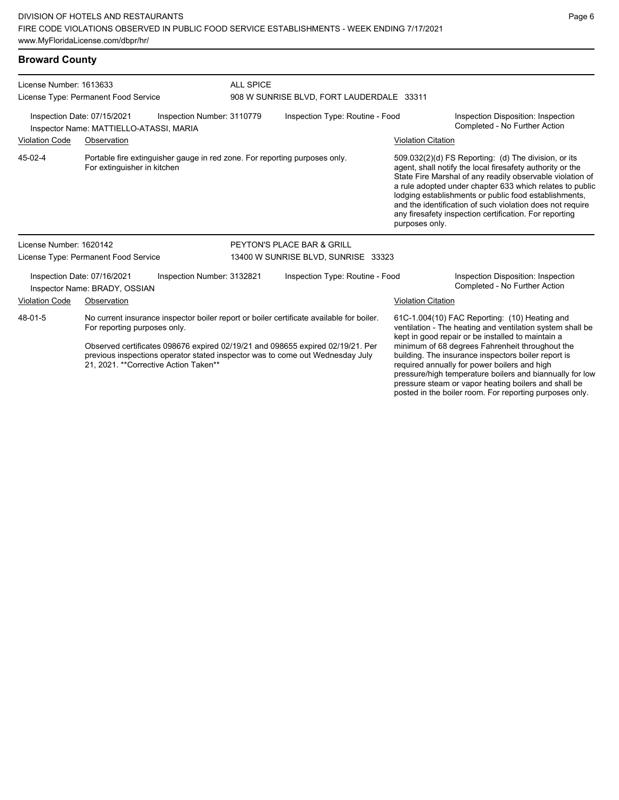### **Broward County**

| License Number: 1613633                                                                              |                                                                                                           |                                                                                                                                                                                                                                                             | <b>ALL SPICE</b>                |                                                                                                                                                                                                                                                                                                                                                                                       |                                                                                                                                                                                                                                                                                                                                                                                                                                              |                                                                     |
|------------------------------------------------------------------------------------------------------|-----------------------------------------------------------------------------------------------------------|-------------------------------------------------------------------------------------------------------------------------------------------------------------------------------------------------------------------------------------------------------------|---------------------------------|---------------------------------------------------------------------------------------------------------------------------------------------------------------------------------------------------------------------------------------------------------------------------------------------------------------------------------------------------------------------------------------|----------------------------------------------------------------------------------------------------------------------------------------------------------------------------------------------------------------------------------------------------------------------------------------------------------------------------------------------------------------------------------------------------------------------------------------------|---------------------------------------------------------------------|
|                                                                                                      | License Type: Permanent Food Service                                                                      |                                                                                                                                                                                                                                                             |                                 | 908 W SUNRISE BLVD, FORT LAUDERDALE 33311                                                                                                                                                                                                                                                                                                                                             |                                                                                                                                                                                                                                                                                                                                                                                                                                              |                                                                     |
| Inspection Date: 07/15/2021<br>Inspection Number: 3110779<br>Inspector Name: MATTIELLO-ATASSI, MARIA |                                                                                                           |                                                                                                                                                                                                                                                             | Inspection Type: Routine - Food |                                                                                                                                                                                                                                                                                                                                                                                       | Inspection Disposition: Inspection<br>Completed - No Further Action                                                                                                                                                                                                                                                                                                                                                                          |                                                                     |
| <b>Violation Code</b>                                                                                | Observation                                                                                               |                                                                                                                                                                                                                                                             |                                 |                                                                                                                                                                                                                                                                                                                                                                                       | <b>Violation Citation</b>                                                                                                                                                                                                                                                                                                                                                                                                                    |                                                                     |
| 45-02-4                                                                                              | Portable fire extinguisher gauge in red zone. For reporting purposes only.<br>For extinguisher in kitchen |                                                                                                                                                                                                                                                             |                                 |                                                                                                                                                                                                                                                                                                                                                                                       | 509.032(2)(d) FS Reporting: (d) The division, or its<br>agent, shall notify the local firesafety authority or the<br>State Fire Marshal of any readily observable violation of<br>a rule adopted under chapter 633 which relates to public<br>lodging establishments or public food establishments,<br>and the identification of such violation does not require<br>any firesafety inspection certification. For reporting<br>purposes only. |                                                                     |
| License Number: 1620142                                                                              |                                                                                                           |                                                                                                                                                                                                                                                             |                                 | PEYTON'S PLACE BAR & GRILL                                                                                                                                                                                                                                                                                                                                                            |                                                                                                                                                                                                                                                                                                                                                                                                                                              |                                                                     |
|                                                                                                      | License Type: Permanent Food Service                                                                      |                                                                                                                                                                                                                                                             |                                 | 13400 W SUNRISE BLVD, SUNRISE 33323                                                                                                                                                                                                                                                                                                                                                   |                                                                                                                                                                                                                                                                                                                                                                                                                                              |                                                                     |
|                                                                                                      | Inspection Date: 07/16/2021<br>Inspector Name: BRADY, OSSIAN                                              | Inspection Number: 3132821                                                                                                                                                                                                                                  |                                 | Inspection Type: Routine - Food                                                                                                                                                                                                                                                                                                                                                       |                                                                                                                                                                                                                                                                                                                                                                                                                                              | Inspection Disposition: Inspection<br>Completed - No Further Action |
| <b>Violation Code</b>                                                                                | Observation                                                                                               |                                                                                                                                                                                                                                                             |                                 |                                                                                                                                                                                                                                                                                                                                                                                       | <b>Violation Citation</b>                                                                                                                                                                                                                                                                                                                                                                                                                    |                                                                     |
| 48-01-5<br>For reporting purposes only.<br>21, 2021. ** Corrective Action Taken**                    |                                                                                                           | No current insurance inspector boiler report or boiler certificate available for boiler.<br>Observed certificates 098676 expired 02/19/21 and 098655 expired 02/19/21. Per<br>previous inspections operator stated inspector was to come out Wednesday July |                                 | 61C-1.004(10) FAC Reporting: (10) Heating and<br>ventilation - The heating and ventilation system shall be<br>kept in good repair or be installed to maintain a<br>minimum of 68 degrees Fahrenheit throughout the<br>building. The insurance inspectors boiler report is<br>required annually for power boilers and high<br>pressure/high temperature boilers and biannually for low |                                                                                                                                                                                                                                                                                                                                                                                                                                              |                                                                     |

pressure steam or vapor heating boilers and shall be posted in the boiler room. For reporting purposes only.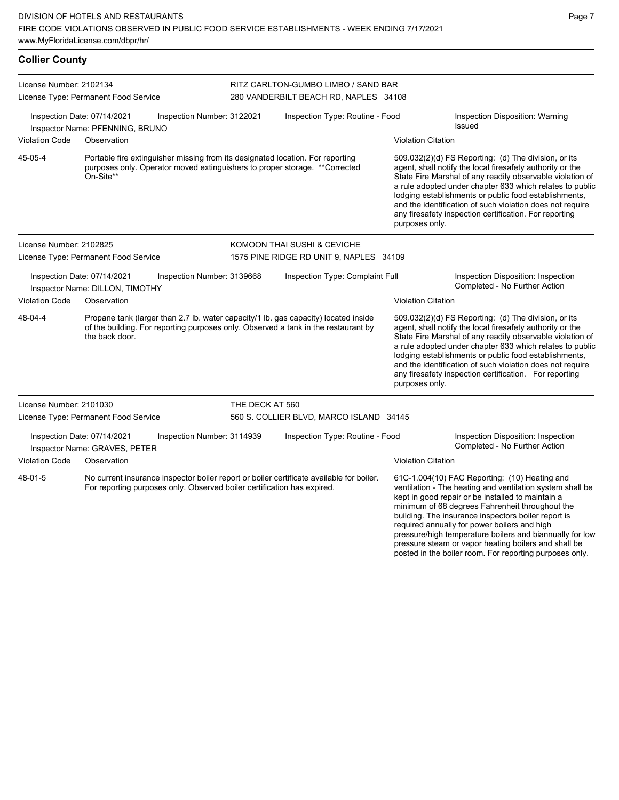| <b>Collier County</b>                                                                      |                                                                                                                                                                                             |                            |                                                                                                                                                                                                                                                                                                                                                                                                                                                                                                                                                                                                               |                           |                                                                                                                                                                                                                                                                                                                                                                                                                            |  |  |
|--------------------------------------------------------------------------------------------|---------------------------------------------------------------------------------------------------------------------------------------------------------------------------------------------|----------------------------|---------------------------------------------------------------------------------------------------------------------------------------------------------------------------------------------------------------------------------------------------------------------------------------------------------------------------------------------------------------------------------------------------------------------------------------------------------------------------------------------------------------------------------------------------------------------------------------------------------------|---------------------------|----------------------------------------------------------------------------------------------------------------------------------------------------------------------------------------------------------------------------------------------------------------------------------------------------------------------------------------------------------------------------------------------------------------------------|--|--|
| License Number: 2102134                                                                    |                                                                                                                                                                                             |                            | RITZ CARLTON-GUMBO LIMBO / SAND BAR                                                                                                                                                                                                                                                                                                                                                                                                                                                                                                                                                                           |                           |                                                                                                                                                                                                                                                                                                                                                                                                                            |  |  |
|                                                                                            | License Type: Permanent Food Service                                                                                                                                                        |                            | 280 VANDERBILT BEACH RD, NAPLES 34108                                                                                                                                                                                                                                                                                                                                                                                                                                                                                                                                                                         |                           |                                                                                                                                                                                                                                                                                                                                                                                                                            |  |  |
|                                                                                            | Inspection Date: 07/14/2021<br>Inspector Name: PFENNING, BRUNO                                                                                                                              | Inspection Number: 3122021 | Inspection Type: Routine - Food                                                                                                                                                                                                                                                                                                                                                                                                                                                                                                                                                                               |                           | Inspection Disposition: Warning<br>Issued                                                                                                                                                                                                                                                                                                                                                                                  |  |  |
| Violation Code                                                                             | Observation                                                                                                                                                                                 |                            |                                                                                                                                                                                                                                                                                                                                                                                                                                                                                                                                                                                                               | <b>Violation Citation</b> |                                                                                                                                                                                                                                                                                                                                                                                                                            |  |  |
| 45-05-4                                                                                    | On-Site**                                                                                                                                                                                   |                            | Portable fire extinguisher missing from its designated location. For reporting<br>509.032(2)(d) FS Reporting: (d) The division, or its<br>purposes only. Operator moved extinguishers to proper storage. ** Corrected<br>agent, shall notify the local firesafety authority or the<br>State Fire Marshal of any readily observable violation of<br>a rule adopted under chapter 633 which relates to public<br>lodging establishments or public food establishments,<br>and the identification of such violation does not require<br>any firesafety inspection certification. For reporting<br>purposes only. |                           |                                                                                                                                                                                                                                                                                                                                                                                                                            |  |  |
| License Number: 2102825                                                                    |                                                                                                                                                                                             |                            | KOMOON THAI SUSHI & CEVICHE                                                                                                                                                                                                                                                                                                                                                                                                                                                                                                                                                                                   |                           |                                                                                                                                                                                                                                                                                                                                                                                                                            |  |  |
|                                                                                            | License Type: Permanent Food Service                                                                                                                                                        |                            | 1575 PINE RIDGE RD UNIT 9, NAPLES 34109                                                                                                                                                                                                                                                                                                                                                                                                                                                                                                                                                                       |                           |                                                                                                                                                                                                                                                                                                                                                                                                                            |  |  |
|                                                                                            | Inspection Date: 07/14/2021<br>Inspector Name: DILLON, TIMOTHY                                                                                                                              | Inspection Number: 3139668 | Inspection Type: Complaint Full                                                                                                                                                                                                                                                                                                                                                                                                                                                                                                                                                                               |                           | Inspection Disposition: Inspection<br>Completed - No Further Action                                                                                                                                                                                                                                                                                                                                                        |  |  |
| <b>Violation Code</b>                                                                      | Observation                                                                                                                                                                                 |                            |                                                                                                                                                                                                                                                                                                                                                                                                                                                                                                                                                                                                               | <b>Violation Citation</b> |                                                                                                                                                                                                                                                                                                                                                                                                                            |  |  |
| 48-04-4                                                                                    | Propane tank (larger than 2.7 lb. water capacity/1 lb. gas capacity) located inside<br>of the building. For reporting purposes only. Observed a tank in the restaurant by<br>the back door. |                            |                                                                                                                                                                                                                                                                                                                                                                                                                                                                                                                                                                                                               | purposes only.            | 509.032(2)(d) FS Reporting: (d) The division, or its<br>agent, shall notify the local firesafety authority or the<br>State Fire Marshal of any readily observable violation of<br>a rule adopted under chapter 633 which relates to public<br>lodging establishments or public food establishments,<br>and the identification of such violation does not require<br>any firesafety inspection certification. For reporting |  |  |
| License Number: 2101030                                                                    |                                                                                                                                                                                             | THE DECK AT 560            |                                                                                                                                                                                                                                                                                                                                                                                                                                                                                                                                                                                                               |                           |                                                                                                                                                                                                                                                                                                                                                                                                                            |  |  |
|                                                                                            | License Type: Permanent Food Service                                                                                                                                                        |                            | 560 S. COLLIER BLVD, MARCO ISLAND 34145                                                                                                                                                                                                                                                                                                                                                                                                                                                                                                                                                                       |                           |                                                                                                                                                                                                                                                                                                                                                                                                                            |  |  |
| Inspection Date: 07/14/2021<br>Inspection Number: 3114939<br>Inspector Name: GRAVES, PETER |                                                                                                                                                                                             |                            | Inspection Type: Routine - Food                                                                                                                                                                                                                                                                                                                                                                                                                                                                                                                                                                               |                           | Inspection Disposition: Inspection<br>Completed - No Further Action                                                                                                                                                                                                                                                                                                                                                        |  |  |
| <b>Violation Code</b>                                                                      | Observation                                                                                                                                                                                 |                            |                                                                                                                                                                                                                                                                                                                                                                                                                                                                                                                                                                                                               | <b>Violation Citation</b> |                                                                                                                                                                                                                                                                                                                                                                                                                            |  |  |
| 48-01-5                                                                                    | No current insurance inspector boiler report or boiler certificate available for boiler.<br>For reporting purposes only. Observed boiler certification has expired.                         |                            |                                                                                                                                                                                                                                                                                                                                                                                                                                                                                                                                                                                                               |                           | 61C-1.004(10) FAC Reporting: (10) Heating and<br>ventilation - The heating and ventilation system shall be<br>kept in good repair or be installed to maintain a<br>minimum of 68 degrees Fahrenheit throughout the<br>building. The insurance inspectors boiler report is                                                                                                                                                  |  |  |

required annually for power boilers and high

pressure/high temperature boilers and biannually for low pressure steam or vapor heating boilers and shall be posted in the boiler room. For reporting purposes only.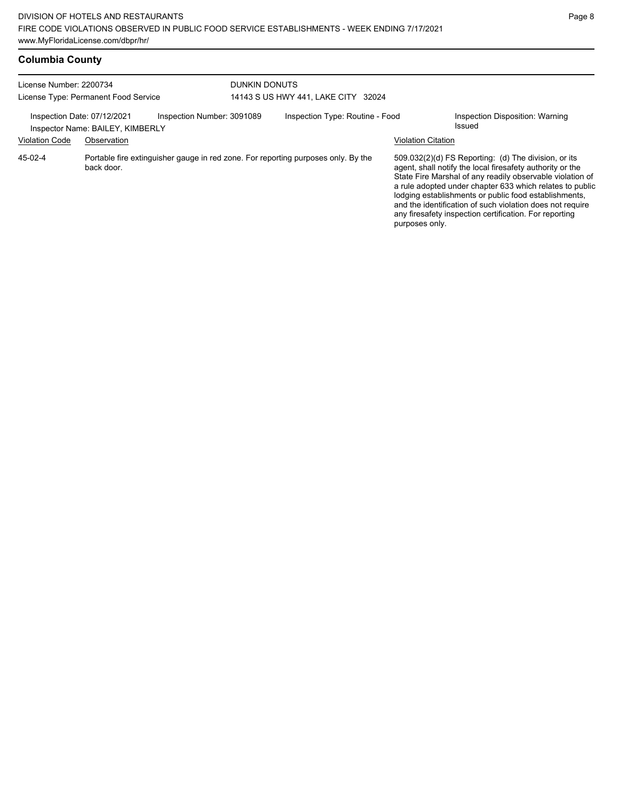| License Number: 2200734                                                                                    |             |  | <b>DUNKIN DONUTS</b>            |                                     |                                                                                                                                                                                                                                                                                                                                                                                                                            |                                           |
|------------------------------------------------------------------------------------------------------------|-------------|--|---------------------------------|-------------------------------------|----------------------------------------------------------------------------------------------------------------------------------------------------------------------------------------------------------------------------------------------------------------------------------------------------------------------------------------------------------------------------------------------------------------------------|-------------------------------------------|
| License Type: Permanent Food Service                                                                       |             |  |                                 | 14143 S US HWY 441, LAKE CITY 32024 |                                                                                                                                                                                                                                                                                                                                                                                                                            |                                           |
| Inspection Number: 3091089<br>Inspection Date: 07/12/2021<br>Inspector Name: BAILEY, KIMBERLY              |             |  | Inspection Type: Routine - Food |                                     |                                                                                                                                                                                                                                                                                                                                                                                                                            | Inspection Disposition: Warning<br>Issued |
| <b>Violation Code</b>                                                                                      | Observation |  |                                 |                                     | <b>Violation Citation</b>                                                                                                                                                                                                                                                                                                                                                                                                  |                                           |
| 45-02-4<br>Portable fire extinguisher gauge in red zone. For reporting purposes only. By the<br>back door. |             |  |                                 | purposes only.                      | 509.032(2)(d) FS Reporting: (d) The division, or its<br>agent, shall notify the local firesafety authority or the<br>State Fire Marshal of any readily observable violation of<br>a rule adopted under chapter 633 which relates to public<br>lodging establishments or public food establishments,<br>and the identification of such violation does not require<br>any firesafety inspection certification. For reporting |                                           |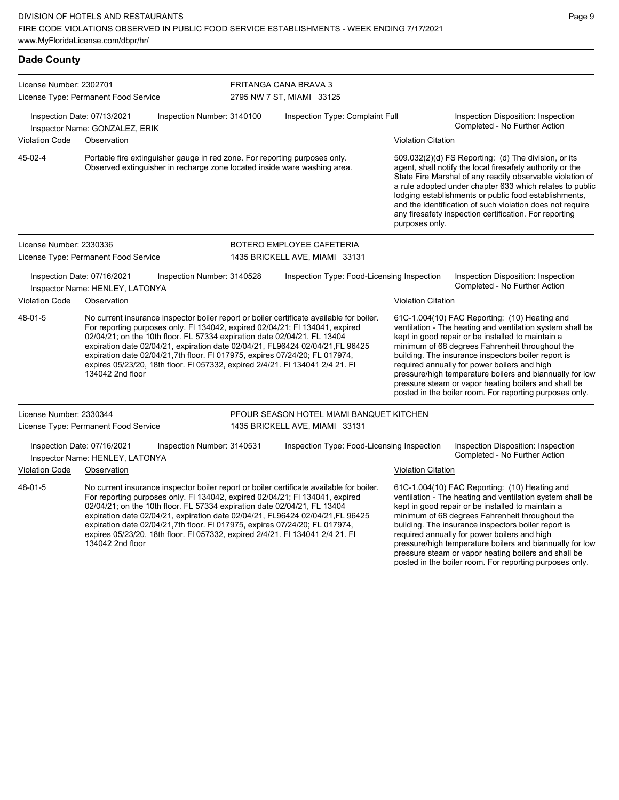| <b>Dade County</b>      |                                                                                                                                                                                                                                                                                                                                                                                                                                                                                                                            |                            |                                            |                                                                                                                                                                                                                                                                                                                                                                                                                                                                                                          |  |  |  |
|-------------------------|----------------------------------------------------------------------------------------------------------------------------------------------------------------------------------------------------------------------------------------------------------------------------------------------------------------------------------------------------------------------------------------------------------------------------------------------------------------------------------------------------------------------------|----------------------------|--------------------------------------------|----------------------------------------------------------------------------------------------------------------------------------------------------------------------------------------------------------------------------------------------------------------------------------------------------------------------------------------------------------------------------------------------------------------------------------------------------------------------------------------------------------|--|--|--|
| License Number: 2302701 |                                                                                                                                                                                                                                                                                                                                                                                                                                                                                                                            |                            | FRITANGA CANA BRAVA 3                      |                                                                                                                                                                                                                                                                                                                                                                                                                                                                                                          |  |  |  |
|                         | License Type: Permanent Food Service                                                                                                                                                                                                                                                                                                                                                                                                                                                                                       |                            | 2795 NW 7 ST, MIAMI 33125                  |                                                                                                                                                                                                                                                                                                                                                                                                                                                                                                          |  |  |  |
|                         | Inspection Date: 07/13/2021<br>Inspector Name: GONZALEZ, ERIK                                                                                                                                                                                                                                                                                                                                                                                                                                                              | Inspection Number: 3140100 | Inspection Type: Complaint Full            | Inspection Disposition: Inspection<br>Completed - No Further Action                                                                                                                                                                                                                                                                                                                                                                                                                                      |  |  |  |
| Violation Code          | Observation                                                                                                                                                                                                                                                                                                                                                                                                                                                                                                                |                            |                                            | <b>Violation Citation</b>                                                                                                                                                                                                                                                                                                                                                                                                                                                                                |  |  |  |
| 45-02-4                 | Portable fire extinguisher gauge in red zone. For reporting purposes only.<br>Observed extinguisher in recharge zone located inside ware washing area.                                                                                                                                                                                                                                                                                                                                                                     |                            |                                            | 509.032(2)(d) FS Reporting: (d) The division, or its<br>agent, shall notify the local firesafety authority or the<br>State Fire Marshal of any readily observable violation of<br>a rule adopted under chapter 633 which relates to public<br>lodging establishments or public food establishments,<br>and the identification of such violation does not require<br>any firesafety inspection certification. For reporting<br>purposes only.                                                             |  |  |  |
| License Number: 2330336 |                                                                                                                                                                                                                                                                                                                                                                                                                                                                                                                            |                            | BOTERO EMPLOYEE CAFETERIA                  |                                                                                                                                                                                                                                                                                                                                                                                                                                                                                                          |  |  |  |
|                         | License Type: Permanent Food Service                                                                                                                                                                                                                                                                                                                                                                                                                                                                                       |                            | 1435 BRICKELL AVE, MIAMI 33131             |                                                                                                                                                                                                                                                                                                                                                                                                                                                                                                          |  |  |  |
|                         | Inspection Date: 07/16/2021<br>Inspector Name: HENLEY, LATONYA                                                                                                                                                                                                                                                                                                                                                                                                                                                             | Inspection Number: 3140528 | Inspection Type: Food-Licensing Inspection | Inspection Disposition: Inspection<br>Completed - No Further Action                                                                                                                                                                                                                                                                                                                                                                                                                                      |  |  |  |
| <b>Violation Code</b>   | Observation                                                                                                                                                                                                                                                                                                                                                                                                                                                                                                                |                            |                                            | <b>Violation Citation</b>                                                                                                                                                                                                                                                                                                                                                                                                                                                                                |  |  |  |
| 48-01-5                 | No current insurance inspector boiler report or boiler certificate available for boiler.<br>For reporting purposes only. FI 134042, expired 02/04/21; FI 134041, expired<br>02/04/21; on the 10th floor. FL 57334 expiration date 02/04/21, FL 13404<br>expiration date 02/04/21, expiration date 02/04/21, FL96424 02/04/21,FL 96425<br>expiration date 02/04/21,7th floor. Fl 017975, expires 07/24/20; FL 017974,<br>expires 05/23/20, 18th floor. FI 057332, expired 2/4/21. FI 134041 2/4 21. FI<br>134042 2nd floor  |                            |                                            | 61C-1.004(10) FAC Reporting: (10) Heating and<br>ventilation - The heating and ventilation system shall be<br>kept in good repair or be installed to maintain a<br>minimum of 68 degrees Fahrenheit throughout the<br>building. The insurance inspectors boiler report is<br>required annually for power boilers and high<br>pressure/high temperature boilers and biannually for low<br>pressure steam or vapor heating boilers and shall be<br>posted in the boiler room. For reporting purposes only. |  |  |  |
| License Number: 2330344 |                                                                                                                                                                                                                                                                                                                                                                                                                                                                                                                            |                            | PFOUR SEASON HOTEL MIAMI BANQUET KITCHEN   |                                                                                                                                                                                                                                                                                                                                                                                                                                                                                                          |  |  |  |
|                         | License Type: Permanent Food Service                                                                                                                                                                                                                                                                                                                                                                                                                                                                                       |                            | 1435 BRICKELL AVE, MIAMI 33131             |                                                                                                                                                                                                                                                                                                                                                                                                                                                                                                          |  |  |  |
|                         | Inspection Date: 07/16/2021<br>Inspector Name: HENLEY, LATONYA                                                                                                                                                                                                                                                                                                                                                                                                                                                             | Inspection Number: 3140531 | Inspection Type: Food-Licensing Inspection | Inspection Disposition: Inspection<br>Completed - No Further Action                                                                                                                                                                                                                                                                                                                                                                                                                                      |  |  |  |
| <b>Violation Code</b>   | Observation                                                                                                                                                                                                                                                                                                                                                                                                                                                                                                                |                            |                                            | <b>Violation Citation</b>                                                                                                                                                                                                                                                                                                                                                                                                                                                                                |  |  |  |
| 48-01-5                 | No current insurance inspector boiler report or boiler certificate available for boiler.<br>For reporting purposes only. FI 134042, expired 02/04/21; FI 134041, expired<br>02/04/21; on the 10th floor. FL 57334 expiration date 02/04/21, FL 13404<br>expiration date 02/04/21, expiration date 02/04/21, FL96424 02/04/21, FL 96425<br>expiration date 02/04/21,7th floor. FI 017975, expires 07/24/20; FL 017974,<br>expires 05/23/20, 18th floor. FI 057332, expired 2/4/21. FI 134041 2/4 21. FI<br>134042 2nd floor |                            |                                            | 61C-1.004(10) FAC Reporting: (10) Heating and<br>ventilation - The heating and ventilation system shall be<br>kept in good repair or be installed to maintain a<br>minimum of 68 degrees Fahrenheit throughout the<br>building. The insurance inspectors boiler report is<br>required annually for power boilers and high<br>pressure/high temperature boilers and biannually for low<br>pressure steam or vapor heating boilers and shall be                                                            |  |  |  |

posted in the boiler room. For reporting purposes only.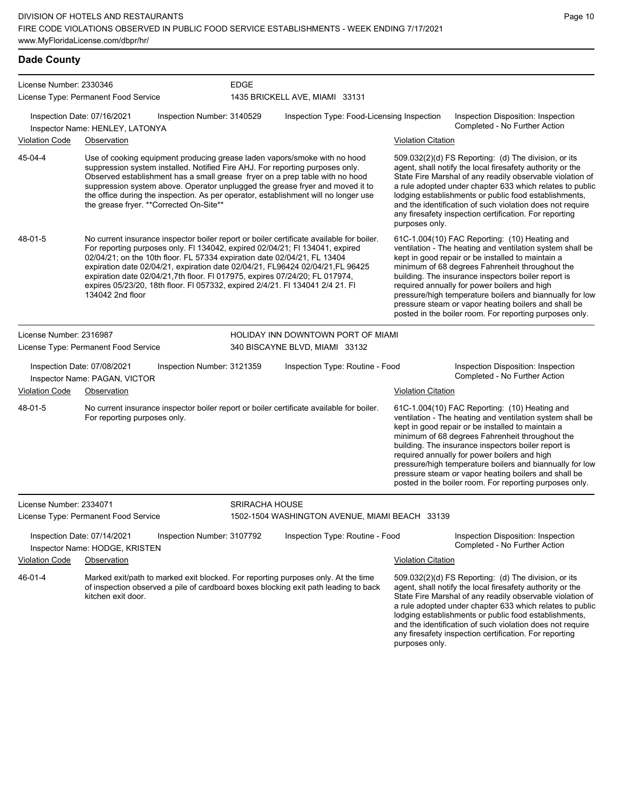EDGE

**Dade County**

License Number: 2330346

License Type: Permanent Food Service

#### Inspection Date: 07/16/2021 Inspection Number: 3140529 Inspection Type: Food-Licensing Inspection Inspection Disposition: Inspection Completed - No Further Action Inspector Name: HENLEY, LATONYA Violation Code Observation Violation Citation Use of cooking equipment producing grease laden vapors/smoke with no hood suppression system installed. Notified Fire AHJ. For reporting purposes only. Observed establishment has a small grease fryer on a prep table with no hood suppression system above. Operator unplugged the grease fryer and moved it to the office during the inspection. As per operator, establishment will no longer use the grease fryer. \*\*Corrected On-Site\*\* 509.032(2)(d) FS Reporting: (d) The division, or its agent, shall notify the local firesafety authority or the State Fire Marshal of any readily observable violation of a rule adopted under chapter 633 which relates to public lodging establishments or public food establishments, and the identification of such violation does not require any firesafety inspection certification. For reporting purposes only. 45-04-4 No current insurance inspector boiler report or boiler certificate available for boiler. For reporting purposes only. Fl 134042, expired 02/04/21; Fl 134041, expired 02/04/21; on the 10th floor. FL 57334 expiration date 02/04/21, FL 13404 expiration date 02/04/21, expiration date 02/04/21, FL96424 02/04/21,FL 96425 expiration date 02/04/21,7th floor. Fl 017975, expires 07/24/20; FL 017974, expires 05/23/20, 18th floor. Fl 057332, expired 2/4/21. Fl 134041 2/4 21. Fl 134042 2nd floor 61C-1.004(10) FAC Reporting: (10) Heating and ventilation - The heating and ventilation system shall be kept in good repair or be installed to maintain a minimum of 68 degrees Fahrenheit throughout the building. The insurance inspectors boiler report is required annually for power boilers and high pressure/high temperature boilers and biannually for low pressure steam or vapor heating boilers and shall be posted in the boiler room. For reporting purposes only. 48-01-5 License Number: 2316987 License Type: Permanent Food Service HOLIDAY INN DOWNTOWN PORT OF MIAMI 340 BISCAYNE BLVD, MIAMI 33132 Inspection Date: 07/08/2021 Inspection Number: 3121359 Inspection Type: Routine - Food Inspection Disposition: Inspection Inspector Name: PAGAN, VICTOR **Inspector Name: PAGAN, VICTOR** Violation Code Observation Violation Citation No current insurance inspector boiler report or boiler certificate available for boiler. For reporting purposes only. 61C-1.004(10) FAC Reporting: (10) Heating and ventilation - The heating and ventilation system shall be kept in good repair or be installed to maintain a minimum of 68 degrees Fahrenheit throughout the building. The insurance inspectors boiler report is required annually for power boilers and high pressure/high temperature boilers and biannually for low pressure steam or vapor heating boilers and shall be posted in the boiler room. For reporting purposes only. 48-01-5 License Number: 2334071 License Type: Permanent Food Service SRIRACHA HOUSE 1502-1504 WASHINGTON AVENUE, MIAMI BEACH 33139 Inspection Date: 07/14/2021 Inspection Number: 3107792 Inspection Type: Routine - Food Inspection Disposition: Inspection Completed - No Further Action Inspector Name: HODGE, KRISTEN Violation Code Observation Violation Citation Marked exit/path to marked exit blocked. For reporting purposes only. At the time of inspection observed a pile of cardboard boxes blocking exit path leading to back kitchen exit door. 509.032(2)(d) FS Reporting: (d) The division, or its agent, shall notify the local firesafety authority or the State Fire Marshal of any readily observable violation of a rule adopted under chapter 633 which relates to public lodging establishments or public food establishments, and the identification of such violation does not require any firesafety inspection certification. For reporting 46-01-4

purposes only.

1435 BRICKELL AVE, MIAMI 33131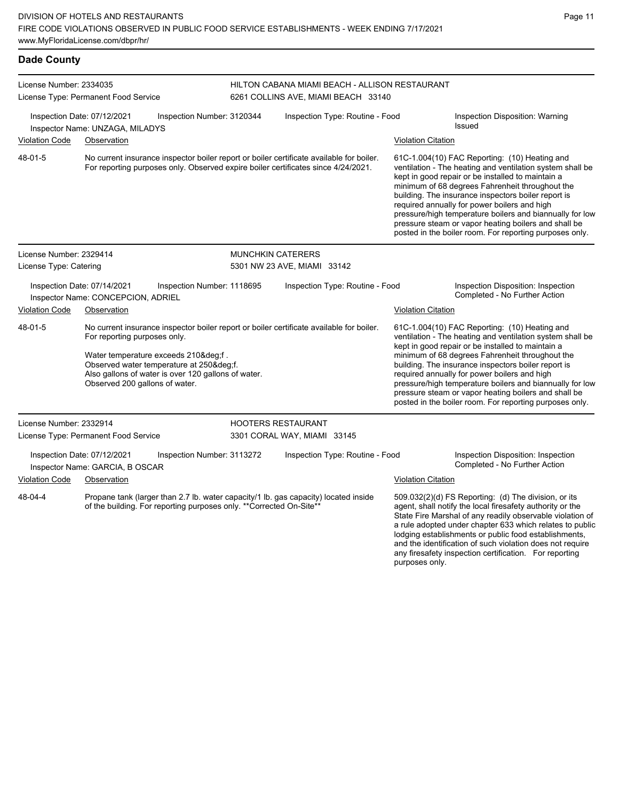| <b>Dade County</b>                                                                              |                                                                |                                                                          |                                                                                                                                                 |                                                                                                                                                                               |                                                                                                                                                                                                                                                                                                                                                                                                                                                                                                          |                                                                                                                                                                                                                                                                                                                                                                                                                                                                                                          |  |  |
|-------------------------------------------------------------------------------------------------|----------------------------------------------------------------|--------------------------------------------------------------------------|-------------------------------------------------------------------------------------------------------------------------------------------------|-------------------------------------------------------------------------------------------------------------------------------------------------------------------------------|----------------------------------------------------------------------------------------------------------------------------------------------------------------------------------------------------------------------------------------------------------------------------------------------------------------------------------------------------------------------------------------------------------------------------------------------------------------------------------------------------------|----------------------------------------------------------------------------------------------------------------------------------------------------------------------------------------------------------------------------------------------------------------------------------------------------------------------------------------------------------------------------------------------------------------------------------------------------------------------------------------------------------|--|--|
| License Number: 2334035                                                                         | License Type: Permanent Food Service                           |                                                                          |                                                                                                                                                 | HILTON CABANA MIAMI BEACH - ALLISON RESTAURANT<br>6261 COLLINS AVE, MIAMI BEACH 33140                                                                                         |                                                                                                                                                                                                                                                                                                                                                                                                                                                                                                          |                                                                                                                                                                                                                                                                                                                                                                                                                                                                                                          |  |  |
|                                                                                                 | Inspection Date: 07/12/2021<br>Inspector Name: UNZAGA, MILADYS | Inspection Number: 3120344                                               |                                                                                                                                                 | Inspection Type: Routine - Food                                                                                                                                               |                                                                                                                                                                                                                                                                                                                                                                                                                                                                                                          | <b>Inspection Disposition: Warning</b><br>Issued                                                                                                                                                                                                                                                                                                                                                                                                                                                         |  |  |
| <b>Violation Code</b>                                                                           | Observation                                                    |                                                                          |                                                                                                                                                 |                                                                                                                                                                               | <b>Violation Citation</b>                                                                                                                                                                                                                                                                                                                                                                                                                                                                                |                                                                                                                                                                                                                                                                                                                                                                                                                                                                                                          |  |  |
| 48-01-5                                                                                         |                                                                |                                                                          |                                                                                                                                                 | No current insurance inspector boiler report or boiler certificate available for boiler.<br>For reporting purposes only. Observed expire boiler certificates since 4/24/2021. |                                                                                                                                                                                                                                                                                                                                                                                                                                                                                                          | 61C-1.004(10) FAC Reporting: (10) Heating and<br>ventilation - The heating and ventilation system shall be<br>kept in good repair or be installed to maintain a<br>minimum of 68 degrees Fahrenheit throughout the<br>building. The insurance inspectors boiler report is<br>required annually for power boilers and high<br>pressure/high temperature boilers and biannually for low<br>pressure steam or vapor heating boilers and shall be<br>posted in the boiler room. For reporting purposes only. |  |  |
| License Number: 2329414                                                                         |                                                                |                                                                          |                                                                                                                                                 | <b>MUNCHKIN CATERERS</b>                                                                                                                                                      |                                                                                                                                                                                                                                                                                                                                                                                                                                                                                                          |                                                                                                                                                                                                                                                                                                                                                                                                                                                                                                          |  |  |
| License Type: Catering                                                                          |                                                                |                                                                          | 5301 NW 23 AVE, MIAMI 33142                                                                                                                     |                                                                                                                                                                               |                                                                                                                                                                                                                                                                                                                                                                                                                                                                                                          |                                                                                                                                                                                                                                                                                                                                                                                                                                                                                                          |  |  |
| Inspection Date: 07/14/2021<br>Inspection Number: 1118695<br>Inspector Name: CONCEPCION, ADRIEL |                                                                |                                                                          | Inspection Type: Routine - Food                                                                                                                 |                                                                                                                                                                               | Inspection Disposition: Inspection<br>Completed - No Further Action                                                                                                                                                                                                                                                                                                                                                                                                                                      |                                                                                                                                                                                                                                                                                                                                                                                                                                                                                                          |  |  |
| <b>Violation Code</b>                                                                           | Observation                                                    |                                                                          |                                                                                                                                                 |                                                                                                                                                                               | <b>Violation Citation</b>                                                                                                                                                                                                                                                                                                                                                                                                                                                                                |                                                                                                                                                                                                                                                                                                                                                                                                                                                                                                          |  |  |
| 48-01-5                                                                                         | For reporting purposes only.<br>Observed 200 gallons of water. | Water temperature exceeds 210°f.<br>Observed water temperature at 250°f. | No current insurance inspector boiler report or boiler certificate available for boiler.<br>Also gallons of water is over 120 gallons of water. |                                                                                                                                                                               | 61C-1.004(10) FAC Reporting: (10) Heating and<br>ventilation - The heating and ventilation system shall be<br>kept in good repair or be installed to maintain a<br>minimum of 68 degrees Fahrenheit throughout the<br>building. The insurance inspectors boiler report is<br>required annually for power boilers and high<br>pressure/high temperature boilers and biannually for low<br>pressure steam or vapor heating boilers and shall be<br>posted in the boiler room. For reporting purposes only. |                                                                                                                                                                                                                                                                                                                                                                                                                                                                                                          |  |  |
| License Number: 2332914                                                                         |                                                                |                                                                          |                                                                                                                                                 | <b>HOOTERS RESTAURANT</b>                                                                                                                                                     |                                                                                                                                                                                                                                                                                                                                                                                                                                                                                                          |                                                                                                                                                                                                                                                                                                                                                                                                                                                                                                          |  |  |
|                                                                                                 | License Type: Permanent Food Service                           |                                                                          |                                                                                                                                                 | 3301 CORAL WAY, MIAMI 33145                                                                                                                                                   |                                                                                                                                                                                                                                                                                                                                                                                                                                                                                                          |                                                                                                                                                                                                                                                                                                                                                                                                                                                                                                          |  |  |
|                                                                                                 | Inspection Date: 07/12/2021<br>Inspector Name: GARCIA, B OSCAR | Inspection Number: 3113272                                               |                                                                                                                                                 | Inspection Type: Routine - Food                                                                                                                                               |                                                                                                                                                                                                                                                                                                                                                                                                                                                                                                          | Inspection Disposition: Inspection<br>Completed - No Further Action                                                                                                                                                                                                                                                                                                                                                                                                                                      |  |  |
| <b>Violation Code</b>                                                                           | Observation                                                    |                                                                          |                                                                                                                                                 |                                                                                                                                                                               | <b>Violation Citation</b>                                                                                                                                                                                                                                                                                                                                                                                                                                                                                |                                                                                                                                                                                                                                                                                                                                                                                                                                                                                                          |  |  |
| 48-04-4                                                                                         |                                                                | of the building. For reporting purposes only. ** Corrected On-Site**     |                                                                                                                                                 | Propane tank (larger than 2.7 lb. water capacity/1 lb. gas capacity) located inside                                                                                           |                                                                                                                                                                                                                                                                                                                                                                                                                                                                                                          | 509.032(2)(d) FS Reporting: (d) The division, or its<br>agent, shall notify the local firesafety authority or the<br>State Fire Marshal of any readily observable violation of<br>a rule adopted under chapter 633 which relates to public                                                                                                                                                                                                                                                               |  |  |

Page 11

lodging establishments or public food establishments, and the identification of such violation does not require any firesafety inspection certification. For reporting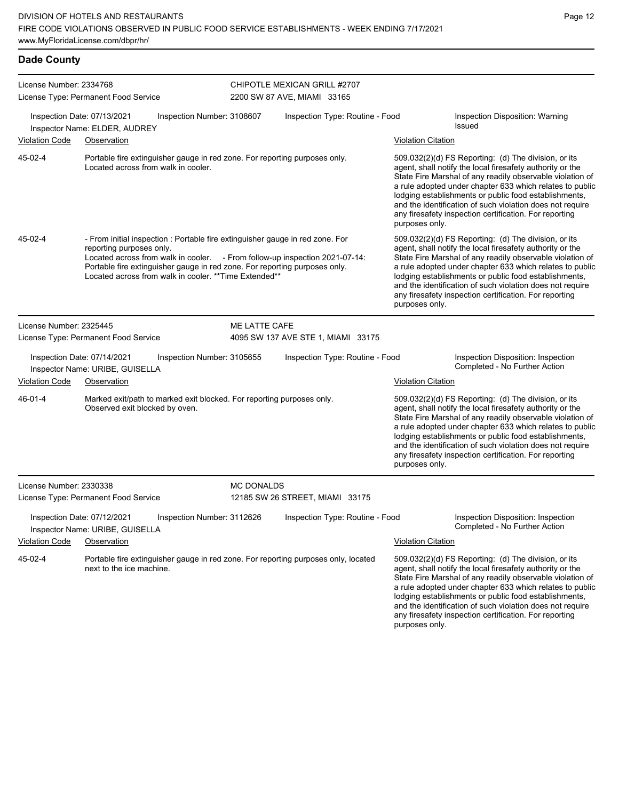| <b>Dade County</b>      |                                                                |                                                                                                                   |                                                                                                                                                                                                                                                              |                                                                                    |                           |                                                                                                                                                                                                                                                                                                                                                                                                                              |
|-------------------------|----------------------------------------------------------------|-------------------------------------------------------------------------------------------------------------------|--------------------------------------------------------------------------------------------------------------------------------------------------------------------------------------------------------------------------------------------------------------|------------------------------------------------------------------------------------|---------------------------|------------------------------------------------------------------------------------------------------------------------------------------------------------------------------------------------------------------------------------------------------------------------------------------------------------------------------------------------------------------------------------------------------------------------------|
| License Number: 2334768 | License Type: Permanent Food Service                           |                                                                                                                   |                                                                                                                                                                                                                                                              | CHIPOTLE MEXICAN GRILL #2707<br>2200 SW 87 AVE, MIAMI 33165                        |                           |                                                                                                                                                                                                                                                                                                                                                                                                                              |
|                         | Inspection Date: 07/13/2021<br>Inspector Name: ELDER, AUDREY   | Inspection Number: 3108607                                                                                        |                                                                                                                                                                                                                                                              | Inspection Type: Routine - Food                                                    |                           | Inspection Disposition: Warning<br>Issued                                                                                                                                                                                                                                                                                                                                                                                    |
| <b>Violation Code</b>   | Observation                                                    |                                                                                                                   |                                                                                                                                                                                                                                                              |                                                                                    | <b>Violation Citation</b> |                                                                                                                                                                                                                                                                                                                                                                                                                              |
| 45-02-4                 |                                                                | Portable fire extinguisher gauge in red zone. For reporting purposes only.<br>Located across from walk in cooler. |                                                                                                                                                                                                                                                              |                                                                                    | purposes only.            | 509.032(2)(d) FS Reporting: (d) The division, or its<br>agent, shall notify the local firesafety authority or the<br>State Fire Marshal of any readily observable violation of<br>a rule adopted under chapter 633 which relates to public<br>lodging establishments or public food establishments,<br>and the identification of such violation does not require<br>any firesafety inspection certification. For reporting   |
| 45-02-4                 | reporting purposes only.                                       | Located across from walk in cooler. ** Time Extended**                                                            | - From initial inspection : Portable fire extinguisher gauge in red zone. For<br>Located across from walk in cooler. - From follow-up inspection 2021-07-14:<br>Portable fire extinguisher gauge in red zone. For reporting purposes only.<br>purposes only. |                                                                                    |                           | 509.032(2)(d) FS Reporting: (d) The division, or its<br>agent, shall notify the local firesafety authority or the<br>State Fire Marshal of any readily observable violation of<br>a rule adopted under chapter 633 which relates to public<br>lodging establishments or public food establishments,<br>and the identification of such violation does not require<br>any firesafety inspection certification. For reporting   |
| License Number: 2325445 |                                                                |                                                                                                                   | ME LATTE CAFE                                                                                                                                                                                                                                                |                                                                                    |                           |                                                                                                                                                                                                                                                                                                                                                                                                                              |
|                         | License Type: Permanent Food Service                           |                                                                                                                   |                                                                                                                                                                                                                                                              | 4095 SW 137 AVE STE 1, MIAMI 33175                                                 |                           |                                                                                                                                                                                                                                                                                                                                                                                                                              |
|                         | Inspection Date: 07/14/2021<br>Inspector Name: URIBE, GUISELLA | Inspection Number: 3105655                                                                                        |                                                                                                                                                                                                                                                              | Inspection Type: Routine - Food                                                    |                           | Inspection Disposition: Inspection<br>Completed - No Further Action                                                                                                                                                                                                                                                                                                                                                          |
| <b>Violation Code</b>   | Observation                                                    |                                                                                                                   |                                                                                                                                                                                                                                                              |                                                                                    | <b>Violation Citation</b> |                                                                                                                                                                                                                                                                                                                                                                                                                              |
| 46-01-4                 | Observed exit blocked by oven.                                 | Marked exit/path to marked exit blocked. For reporting purposes only.                                             |                                                                                                                                                                                                                                                              |                                                                                    | purposes only.            | $509.032(2)(d)$ FS Reporting: (d) The division, or its<br>agent, shall notify the local firesafety authority or the<br>State Fire Marshal of any readily observable violation of<br>a rule adopted under chapter 633 which relates to public<br>lodging establishments or public food establishments,<br>and the identification of such violation does not require<br>any firesafety inspection certification. For reporting |
| License Number: 2330338 |                                                                |                                                                                                                   | <b>MC DONALDS</b>                                                                                                                                                                                                                                            |                                                                                    |                           |                                                                                                                                                                                                                                                                                                                                                                                                                              |
|                         | License Type: Permanent Food Service                           |                                                                                                                   |                                                                                                                                                                                                                                                              | 12185 SW 26 STREET, MIAMI 33175                                                    |                           |                                                                                                                                                                                                                                                                                                                                                                                                                              |
|                         | Inspection Date: 07/12/2021<br>Inspector Name: URIBE, GUISELLA | Inspection Number: 3112626                                                                                        |                                                                                                                                                                                                                                                              | Inspection Type: Routine - Food                                                    |                           | Inspection Disposition: Inspection<br>Completed - No Further Action                                                                                                                                                                                                                                                                                                                                                          |
| <b>Violation Code</b>   | Observation                                                    |                                                                                                                   |                                                                                                                                                                                                                                                              |                                                                                    | <b>Violation Citation</b> |                                                                                                                                                                                                                                                                                                                                                                                                                              |
| 45-02-4                 | next to the ice machine.                                       |                                                                                                                   |                                                                                                                                                                                                                                                              | Portable fire extinguisher gauge in red zone. For reporting purposes only, located |                           | 509.032(2)(d) FS Reporting: (d) The division, or its<br>agent, shall notify the local firesafety authority or the<br>State Fire Marshal of any readily observable violation of<br>a rule adopted under chapter 633 which relates to public<br>lodging establishments or public food establishments,<br>and the identification of such violation does not require<br>any firesafety inspection certification. For reporting   |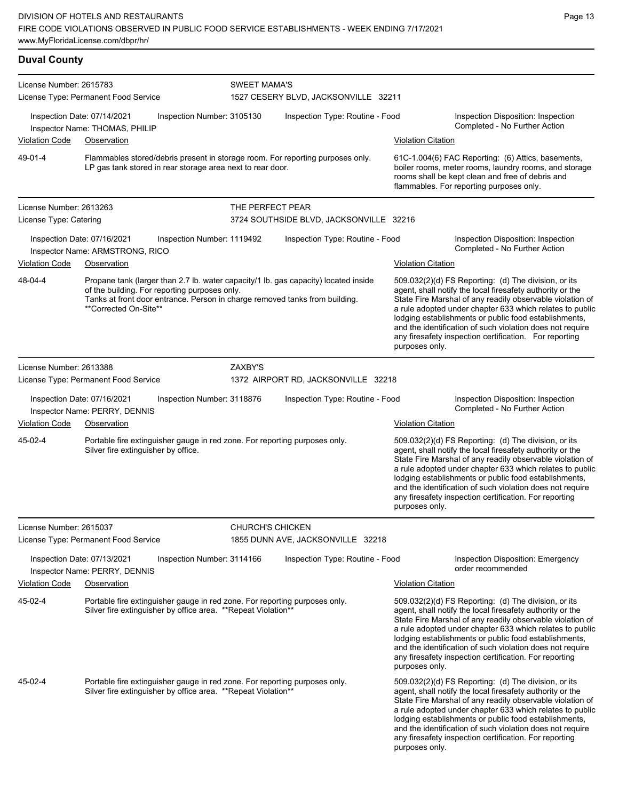| <b>Duval County</b>     |                                                                                                                                                                                                                                              |                                                                                                                                              |                                                                                |                           |                                                                                                                                                                                                                                                                                                                                                                                                                                              |  |  |
|-------------------------|----------------------------------------------------------------------------------------------------------------------------------------------------------------------------------------------------------------------------------------------|----------------------------------------------------------------------------------------------------------------------------------------------|--------------------------------------------------------------------------------|---------------------------|----------------------------------------------------------------------------------------------------------------------------------------------------------------------------------------------------------------------------------------------------------------------------------------------------------------------------------------------------------------------------------------------------------------------------------------------|--|--|
| License Number: 2615783 |                                                                                                                                                                                                                                              | <b>SWEET MAMA'S</b>                                                                                                                          |                                                                                |                           |                                                                                                                                                                                                                                                                                                                                                                                                                                              |  |  |
|                         | License Type: Permanent Food Service                                                                                                                                                                                                         |                                                                                                                                              | 1527 CESERY BLVD, JACKSONVILLE 32211                                           |                           |                                                                                                                                                                                                                                                                                                                                                                                                                                              |  |  |
|                         | Inspection Date: 07/14/2021<br>Inspector Name: THOMAS, PHILIP                                                                                                                                                                                | Inspection Number: 3105130                                                                                                                   | Inspection Type: Routine - Food                                                |                           | Inspection Disposition: Inspection<br>Completed - No Further Action                                                                                                                                                                                                                                                                                                                                                                          |  |  |
| Violation Code          | Observation                                                                                                                                                                                                                                  |                                                                                                                                              |                                                                                | <b>Violation Citation</b> |                                                                                                                                                                                                                                                                                                                                                                                                                                              |  |  |
| 49-01-4                 | LP gas tank stored in rear storage area next to rear door.                                                                                                                                                                                   |                                                                                                                                              | Flammables stored/debris present in storage room. For reporting purposes only. |                           | 61C-1.004(6) FAC Reporting: (6) Attics, basements,<br>boiler rooms, meter rooms, laundry rooms, and storage<br>rooms shall be kept clean and free of debris and<br>flammables. For reporting purposes only.                                                                                                                                                                                                                                  |  |  |
| License Number: 2613263 |                                                                                                                                                                                                                                              | THE PERFECT PEAR                                                                                                                             |                                                                                |                           |                                                                                                                                                                                                                                                                                                                                                                                                                                              |  |  |
| License Type: Catering  |                                                                                                                                                                                                                                              |                                                                                                                                              | 3724 SOUTHSIDE BLVD, JACKSONVILLE 32216                                        |                           |                                                                                                                                                                                                                                                                                                                                                                                                                                              |  |  |
|                         | Inspection Date: 07/16/2021<br>Inspector Name: ARMSTRONG, RICO                                                                                                                                                                               | Inspection Number: 1119492                                                                                                                   | Inspection Type: Routine - Food                                                |                           | Inspection Disposition: Inspection<br>Completed - No Further Action                                                                                                                                                                                                                                                                                                                                                                          |  |  |
| <b>Violation Code</b>   | Observation                                                                                                                                                                                                                                  |                                                                                                                                              | <b>Violation Citation</b>                                                      |                           |                                                                                                                                                                                                                                                                                                                                                                                                                                              |  |  |
| 48-04-4                 | Propane tank (larger than 2.7 lb. water capacity/1 lb. gas capacity) located inside<br>of the building. For reporting purposes only.<br>Tanks at front door entrance. Person in charge removed tanks from building.<br>**Corrected On-Site** |                                                                                                                                              |                                                                                |                           | 509.032(2)(d) FS Reporting: (d) The division, or its<br>agent, shall notify the local firesafety authority or the<br>State Fire Marshal of any readily observable violation of<br>a rule adopted under chapter 633 which relates to public<br>lodging establishments or public food establishments,<br>and the identification of such violation does not require<br>any firesafety inspection certification. For reporting<br>purposes only. |  |  |
| License Number: 2613388 |                                                                                                                                                                                                                                              | ZAXBY'S                                                                                                                                      |                                                                                |                           |                                                                                                                                                                                                                                                                                                                                                                                                                                              |  |  |
|                         | License Type: Permanent Food Service                                                                                                                                                                                                         |                                                                                                                                              | 1372 AIRPORT RD, JACKSONVILLE 32218                                            |                           |                                                                                                                                                                                                                                                                                                                                                                                                                                              |  |  |
|                         | Inspection Date: 07/16/2021<br>Inspector Name: PERRY, DENNIS                                                                                                                                                                                 | Inspection Number: 3118876                                                                                                                   | Inspection Type: Routine - Food                                                |                           | Inspection Disposition: Inspection<br>Completed - No Further Action                                                                                                                                                                                                                                                                                                                                                                          |  |  |
| <b>Violation Code</b>   | Observation                                                                                                                                                                                                                                  |                                                                                                                                              |                                                                                | <b>Violation Citation</b> |                                                                                                                                                                                                                                                                                                                                                                                                                                              |  |  |
| 45-02-4                 | Portable fire extinguisher gauge in red zone. For reporting purposes only.<br>Silver fire extinguisher by office.                                                                                                                            |                                                                                                                                              |                                                                                | purposes only.            | 509.032(2)(d) FS Reporting: (d) The division, or its<br>agent, shall notify the local firesafety authority or the<br>State Fire Marshal of any readily observable violation of<br>a rule adopted under chapter 633 which relates to public<br>lodging establishments or public food establishments,<br>and the identification of such violation does not require<br>any firesafety inspection certification. For reporting                   |  |  |
| License Number: 2615037 |                                                                                                                                                                                                                                              | <b>CHURCH'S CHICKEN</b>                                                                                                                      |                                                                                |                           |                                                                                                                                                                                                                                                                                                                                                                                                                                              |  |  |
|                         | License Type: Permanent Food Service                                                                                                                                                                                                         |                                                                                                                                              | 1855 DUNN AVE, JACKSONVILLE 32218                                              |                           |                                                                                                                                                                                                                                                                                                                                                                                                                                              |  |  |
|                         | Inspection Date: 07/13/2021<br>Inspector Name: PERRY, DENNIS                                                                                                                                                                                 | Inspection Number: 3114166                                                                                                                   | Inspection Type: Routine - Food                                                |                           | Inspection Disposition: Emergency<br>order recommended                                                                                                                                                                                                                                                                                                                                                                                       |  |  |
| Violation Code          | Observation                                                                                                                                                                                                                                  |                                                                                                                                              |                                                                                | <b>Violation Citation</b> |                                                                                                                                                                                                                                                                                                                                                                                                                                              |  |  |
| 45-02-4                 |                                                                                                                                                                                                                                              | Portable fire extinguisher gauge in red zone. For reporting purposes only.<br>Silver fire extinguisher by office area. ** Repeat Violation** |                                                                                | purposes only.            | 509.032(2)(d) FS Reporting: (d) The division, or its<br>agent, shall notify the local firesafety authority or the<br>State Fire Marshal of any readily observable violation of<br>a rule adopted under chapter 633 which relates to public<br>lodging establishments or public food establishments,<br>and the identification of such violation does not require<br>any firesafety inspection certification. For reporting                   |  |  |
| 45-02-4                 | Portable fire extinguisher gauge in red zone. For reporting purposes only.<br>Silver fire extinguisher by office area. ** Repeat Violation**                                                                                                 |                                                                                                                                              |                                                                                | purposes only.            | 509.032(2)(d) FS Reporting: (d) The division, or its<br>agent, shall notify the local firesafety authority or the<br>State Fire Marshal of any readily observable violation of<br>a rule adopted under chapter 633 which relates to public<br>lodging establishments or public food establishments,<br>and the identification of such violation does not require<br>any firesafety inspection certification. For reporting                   |  |  |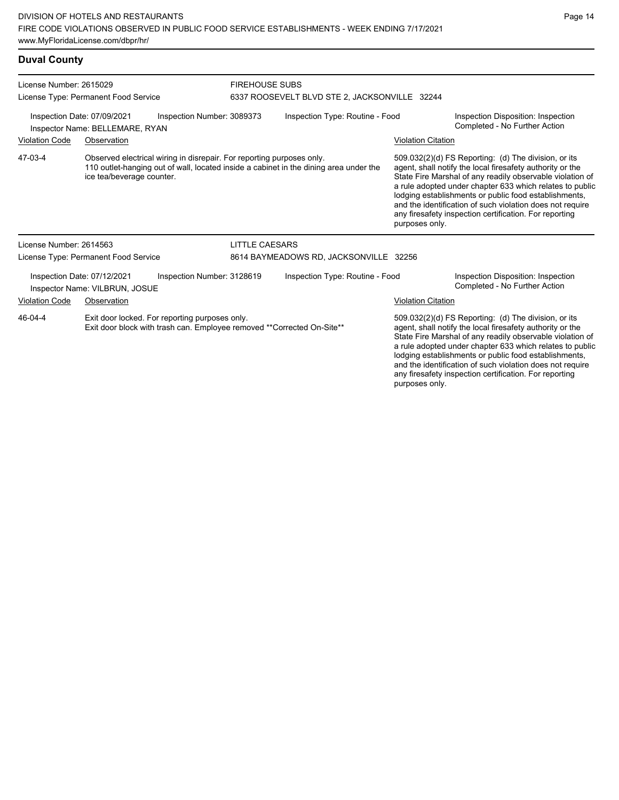## **Duval County**

| License Number: 2615029                                                                                                              | License Type: Permanent Food Service                                                                                                                                                        |                            | <b>FIREHOUSE SUBS</b><br>6337 ROOSEVELT BLVD STE 2, JACKSONVILLE 32244 |                                 |                                                                                                                                                                                                                                                                                                                                                                                                                                              |                                                                     |  |
|--------------------------------------------------------------------------------------------------------------------------------------|---------------------------------------------------------------------------------------------------------------------------------------------------------------------------------------------|----------------------------|------------------------------------------------------------------------|---------------------------------|----------------------------------------------------------------------------------------------------------------------------------------------------------------------------------------------------------------------------------------------------------------------------------------------------------------------------------------------------------------------------------------------------------------------------------------------|---------------------------------------------------------------------|--|
|                                                                                                                                      | Inspection Date: 07/09/2021<br>Inspector Name: BELLEMARE, RYAN                                                                                                                              | Inspection Number: 3089373 | Inspection Type: Routine - Food                                        |                                 |                                                                                                                                                                                                                                                                                                                                                                                                                                              | Inspection Disposition: Inspection<br>Completed - No Further Action |  |
| <b>Violation Code</b>                                                                                                                | Observation                                                                                                                                                                                 |                            |                                                                        |                                 | <b>Violation Citation</b>                                                                                                                                                                                                                                                                                                                                                                                                                    |                                                                     |  |
| 47-03-4                                                                                                                              | Observed electrical wiring in disrepair. For reporting purposes only.<br>110 outlet-hanging out of wall, located inside a cabinet in the dining area under the<br>ice tea/beverage counter. |                            |                                                                        |                                 | 509.032(2)(d) FS Reporting: (d) The division, or its<br>agent, shall notify the local firesafety authority or the<br>State Fire Marshal of any readily observable violation of<br>a rule adopted under chapter 633 which relates to public<br>lodging establishments or public food establishments,<br>and the identification of such violation does not require<br>any firesafety inspection certification. For reporting<br>purposes only. |                                                                     |  |
| License Number: 2614563                                                                                                              |                                                                                                                                                                                             |                            | <b>LITTLE CAESARS</b>                                                  |                                 |                                                                                                                                                                                                                                                                                                                                                                                                                                              |                                                                     |  |
|                                                                                                                                      | License Type: Permanent Food Service                                                                                                                                                        |                            | 8614 BAYMEADOWS RD, JACKSONVILLE 32256                                 |                                 |                                                                                                                                                                                                                                                                                                                                                                                                                                              |                                                                     |  |
|                                                                                                                                      | Inspection Date: 07/12/2021<br>Inspector Name: VILBRUN, JOSUE                                                                                                                               | Inspection Number: 3128619 |                                                                        | Inspection Type: Routine - Food |                                                                                                                                                                                                                                                                                                                                                                                                                                              | Inspection Disposition: Inspection<br>Completed - No Further Action |  |
| <b>Violation Code</b><br>Observation                                                                                                 |                                                                                                                                                                                             |                            |                                                                        |                                 | <b>Violation Citation</b>                                                                                                                                                                                                                                                                                                                                                                                                                    |                                                                     |  |
| 46-04-4<br>Exit door locked. For reporting purposes only.<br>Exit door block with trash can. Employee removed ** Corrected On-Site** |                                                                                                                                                                                             |                            |                                                                        |                                 | 509.032(2)(d) FS Reporting: (d) The division, or its<br>agent, shall notify the local firesafety authority or the<br>State Fire Marshal of any readily observable violation of<br>a rule adopted under chapter 633 which relates to public<br>lodging establishments or public food establishments,<br>and the identification of such violation does not require                                                                             |                                                                     |  |

Page 14

any firesafety inspection certification. For reporting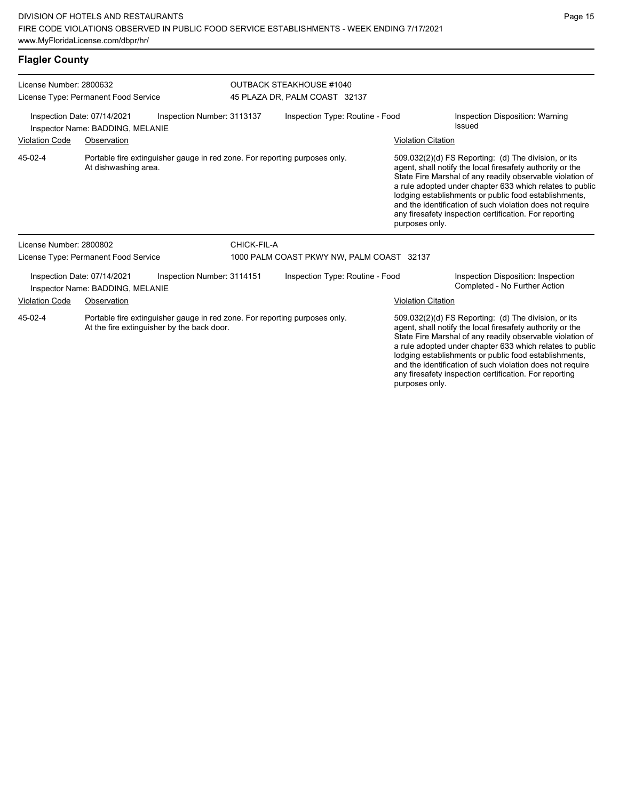## **Flagler County**

| License Number: 2800632                                                                                                             |                                                                                                    | <b>OUTBACK STEAKHOUSE #1040</b> |                                           |  |                                                                                                                                                                                                                                                                                                                                                                                                                                              |                                                                     |  |
|-------------------------------------------------------------------------------------------------------------------------------------|----------------------------------------------------------------------------------------------------|---------------------------------|-------------------------------------------|--|----------------------------------------------------------------------------------------------------------------------------------------------------------------------------------------------------------------------------------------------------------------------------------------------------------------------------------------------------------------------------------------------------------------------------------------------|---------------------------------------------------------------------|--|
|                                                                                                                                     | License Type: Permanent Food Service                                                               |                                 | 45 PLAZA DR, PALM COAST 32137             |  |                                                                                                                                                                                                                                                                                                                                                                                                                                              |                                                                     |  |
|                                                                                                                                     | Inspection Date: 07/14/2021<br>Inspector Name: BADDING, MELANIE                                    | Inspection Number: 3113137      | Inspection Type: Routine - Food           |  | Inspection Disposition: Warning<br>Issued                                                                                                                                                                                                                                                                                                                                                                                                    |                                                                     |  |
| <b>Violation Code</b><br>Observation                                                                                                |                                                                                                    |                                 |                                           |  | <b>Violation Citation</b>                                                                                                                                                                                                                                                                                                                                                                                                                    |                                                                     |  |
| 45-02-4                                                                                                                             | Portable fire extinguisher gauge in red zone. For reporting purposes only.<br>At dishwashing area. |                                 |                                           |  | 509.032(2)(d) FS Reporting: (d) The division, or its<br>agent, shall notify the local firesafety authority or the<br>State Fire Marshal of any readily observable violation of<br>a rule adopted under chapter 633 which relates to public<br>lodging establishments or public food establishments,<br>and the identification of such violation does not require<br>any firesafety inspection certification. For reporting<br>purposes only. |                                                                     |  |
| License Number: 2800802                                                                                                             |                                                                                                    |                                 | CHICK-FIL-A                               |  |                                                                                                                                                                                                                                                                                                                                                                                                                                              |                                                                     |  |
|                                                                                                                                     | License Type: Permanent Food Service                                                               |                                 | 1000 PALM COAST PKWY NW, PALM COAST 32137 |  |                                                                                                                                                                                                                                                                                                                                                                                                                                              |                                                                     |  |
|                                                                                                                                     | Inspection Date: 07/14/2021<br>Inspector Name: BADDING, MELANIE                                    | Inspection Number: 3114151      | Inspection Type: Routine - Food           |  |                                                                                                                                                                                                                                                                                                                                                                                                                                              | Inspection Disposition: Inspection<br>Completed - No Further Action |  |
| <b>Violation Code</b>                                                                                                               | Observation                                                                                        |                                 |                                           |  | <b>Violation Citation</b>                                                                                                                                                                                                                                                                                                                                                                                                                    |                                                                     |  |
| 45-02-4<br>Portable fire extinguisher gauge in red zone. For reporting purposes only.<br>At the fire extinguisher by the back door. |                                                                                                    |                                 |                                           |  | 509.032(2)(d) FS Reporting: (d) The division, or its<br>agent, shall notify the local firesafety authority or the<br>State Fire Marshal of any readily observable violation of<br>a rule adopted under chapter 633 which relates to public<br>lodging establishments or public food establishments,<br>and the identification of such violation does not require<br>any firesafety inspection certification. For reporting                   |                                                                     |  |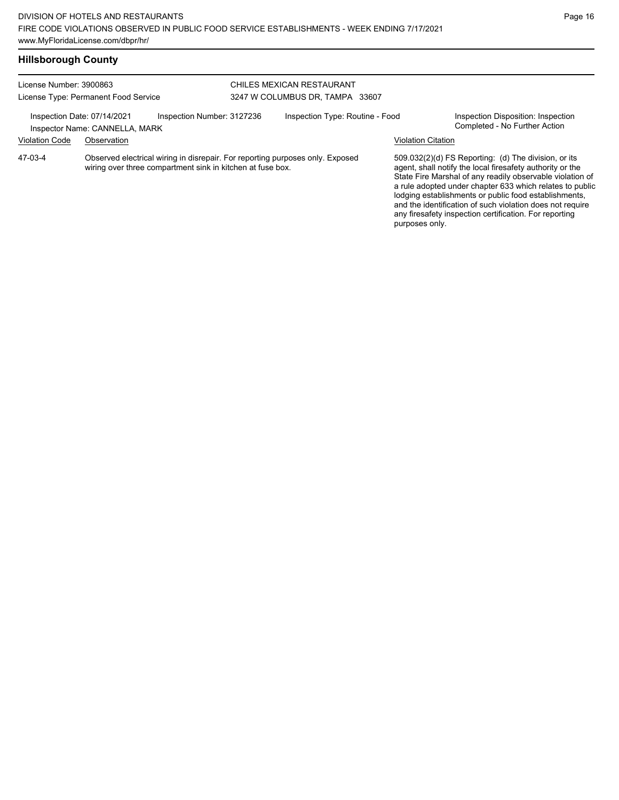any firesafety inspection certification. For reporting

| <b>Hillsborough County</b> |                                                               |                                                                                                                                             |                                                              |                           |                                                                                                                                                                                                                                                                                                                                                                  |
|----------------------------|---------------------------------------------------------------|---------------------------------------------------------------------------------------------------------------------------------------------|--------------------------------------------------------------|---------------------------|------------------------------------------------------------------------------------------------------------------------------------------------------------------------------------------------------------------------------------------------------------------------------------------------------------------------------------------------------------------|
| License Number: 3900863    | License Type: Permanent Food Service                          |                                                                                                                                             | CHILES MEXICAN RESTAURANT<br>3247 W COLUMBUS DR. TAMPA 33607 |                           |                                                                                                                                                                                                                                                                                                                                                                  |
|                            | Inspection Date: 07/14/2021<br>Inspector Name: CANNELLA, MARK | Inspection Number: 3127236                                                                                                                  | Inspection Type: Routine - Food                              |                           | Inspection Disposition: Inspection<br>Completed - No Further Action                                                                                                                                                                                                                                                                                              |
| <b>Violation Code</b>      | Observation                                                   |                                                                                                                                             |                                                              | <b>Violation Citation</b> |                                                                                                                                                                                                                                                                                                                                                                  |
| 47-03-4                    |                                                               | Observed electrical wiring in disrepair. For reporting purposes only. Exposed<br>wiring over three compartment sink in kitchen at fuse box. |                                                              |                           | 509.032(2)(d) FS Reporting: (d) The division, or its<br>agent, shall notify the local firesafety authority or the<br>State Fire Marshal of any readily observable violation of<br>a rule adopted under chapter 633 which relates to public<br>lodging establishments or public food establishments,<br>and the identification of such violation does not require |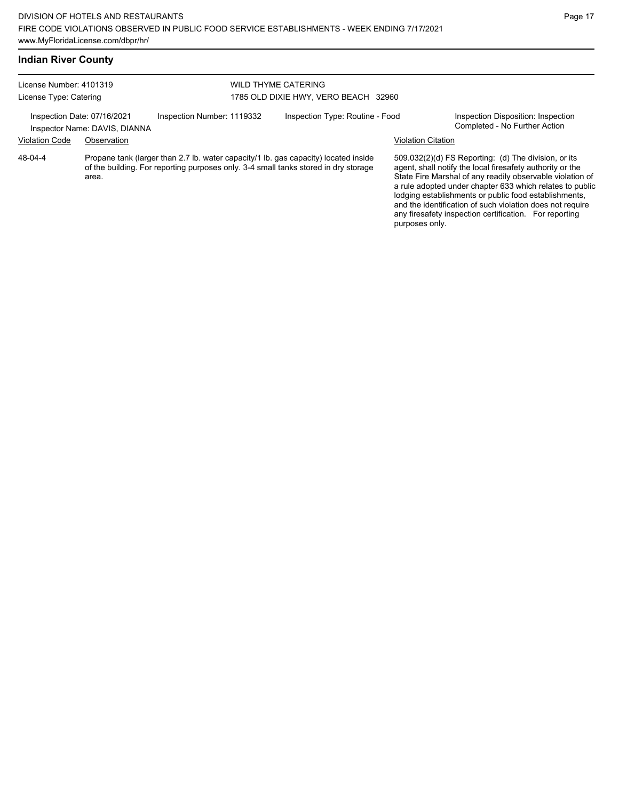## **Indian River County**

| License Number: 4101319<br>License Type: Catering            |             |                                                                                                                                                                            | <b>WILD THYME CATERING</b><br>1785 OLD DIXIE HWY, VERO BEACH 32960 |                           |                                                                                                                                                                                                                                                                                                                                                                                                                            |
|--------------------------------------------------------------|-------------|----------------------------------------------------------------------------------------------------------------------------------------------------------------------------|--------------------------------------------------------------------|---------------------------|----------------------------------------------------------------------------------------------------------------------------------------------------------------------------------------------------------------------------------------------------------------------------------------------------------------------------------------------------------------------------------------------------------------------------|
| Inspection Date: 07/16/2021<br>Inspector Name: DAVIS, DIANNA |             | Inspection Number: 1119332                                                                                                                                                 | Inspection Type: Routine - Food                                    |                           | Inspection Disposition: Inspection<br>Completed - No Further Action                                                                                                                                                                                                                                                                                                                                                        |
| <b>Violation Code</b>                                        | Observation |                                                                                                                                                                            |                                                                    | <b>Violation Citation</b> |                                                                                                                                                                                                                                                                                                                                                                                                                            |
| 48-04-4                                                      | area.       | Propane tank (larger than 2.7 lb. water capacity/1 lb. gas capacity) located inside<br>of the building. For reporting purposes only. 3-4 small tanks stored in dry storage |                                                                    | purposes only.            | 509.032(2)(d) FS Reporting: (d) The division, or its<br>agent, shall notify the local firesafety authority or the<br>State Fire Marshal of any readily observable violation of<br>a rule adopted under chapter 633 which relates to public<br>lodging establishments or public food establishments,<br>and the identification of such violation does not require<br>any firesafety inspection certification. For reporting |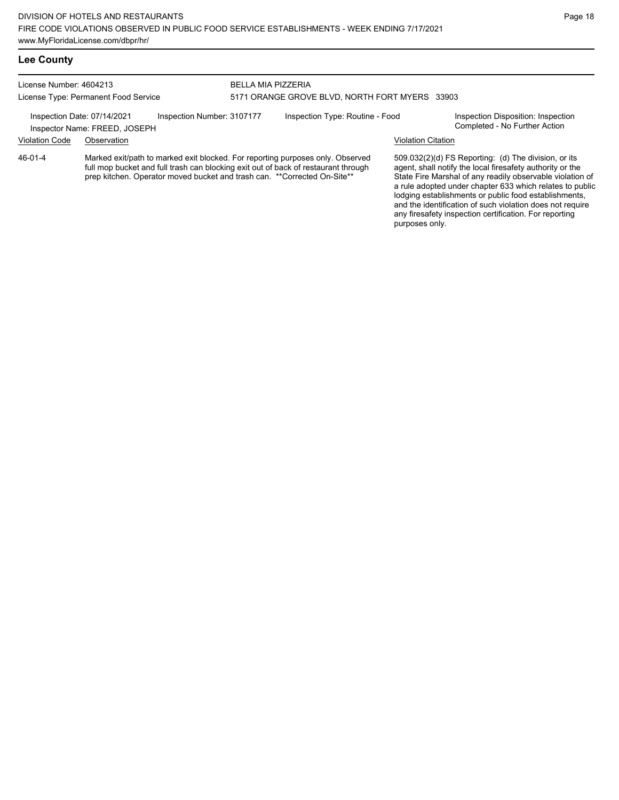License Number: 4604213 License Type: Permanent Food Service BELLA MIA PIZZERIA 5171 ORANGE GROVE BLVD, NORTH FORT MYERS 33903 Inspection Date: 07/14/2021 Inspection Number: 3107177 Inspection Type: Routine - Food Inspection Disposition: Inspection<br>Inspector Name: EREED IOSEPH Inspector Name: FREED, JOSEPH

### Violation Code Observation Violation Citation

Marked exit/path to marked exit blocked. For reporting purposes only. Observed full mop bucket and full trash can blocking exit out of back of restaurant through prep kitchen. Operator moved bucket and trash can. \*\*Corrected On-Site\*\* 46-01-4

509.032(2)(d) FS Reporting: (d) The division, or its agent, shall notify the local firesafety authority or the State Fire Marshal of any readily observable violation of a rule adopted under chapter 633 which relates to public lodging establishments or public food establishments, and the identification of such violation does not require any firesafety inspection certification. For reporting purposes only.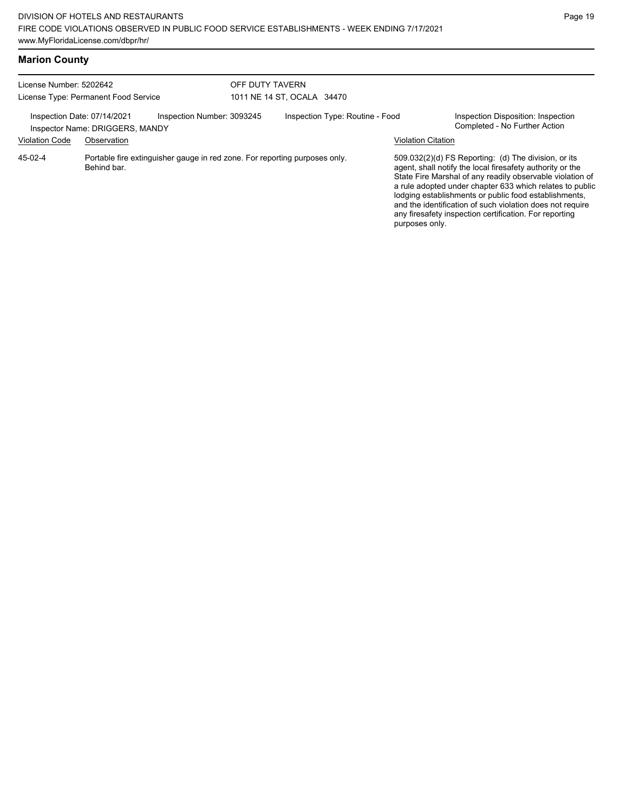## **Marion County**

| License Number: 5202642<br>License Type: Permanent Food Service<br>Inspection Date: 07/14/2021<br>Inspection Number: 3093245<br>Inspector Name: DRIGGERS, MANDY |             |  | OFF DUTY TAVERN                 | 1011 NE 14 ST, OCALA 34470 |                                                                                                                                                                                                                                                                                                                                                                                                                            |                                                                     |
|-----------------------------------------------------------------------------------------------------------------------------------------------------------------|-------------|--|---------------------------------|----------------------------|----------------------------------------------------------------------------------------------------------------------------------------------------------------------------------------------------------------------------------------------------------------------------------------------------------------------------------------------------------------------------------------------------------------------------|---------------------------------------------------------------------|
|                                                                                                                                                                 |             |  | Inspection Type: Routine - Food |                            |                                                                                                                                                                                                                                                                                                                                                                                                                            | Inspection Disposition: Inspection<br>Completed - No Further Action |
| <b>Violation Code</b>                                                                                                                                           | Observation |  |                                 |                            | <b>Violation Citation</b>                                                                                                                                                                                                                                                                                                                                                                                                  |                                                                     |
| Portable fire extinguisher gauge in red zone. For reporting purposes only.<br>$45-02-4$<br>Behind bar.                                                          |             |  |                                 | purposes only.             | 509.032(2)(d) FS Reporting: (d) The division, or its<br>agent, shall notify the local firesafety authority or the<br>State Fire Marshal of any readily observable violation of<br>a rule adopted under chapter 633 which relates to public<br>lodging establishments or public food establishments,<br>and the identification of such violation does not require<br>any firesafety inspection certification. For reporting |                                                                     |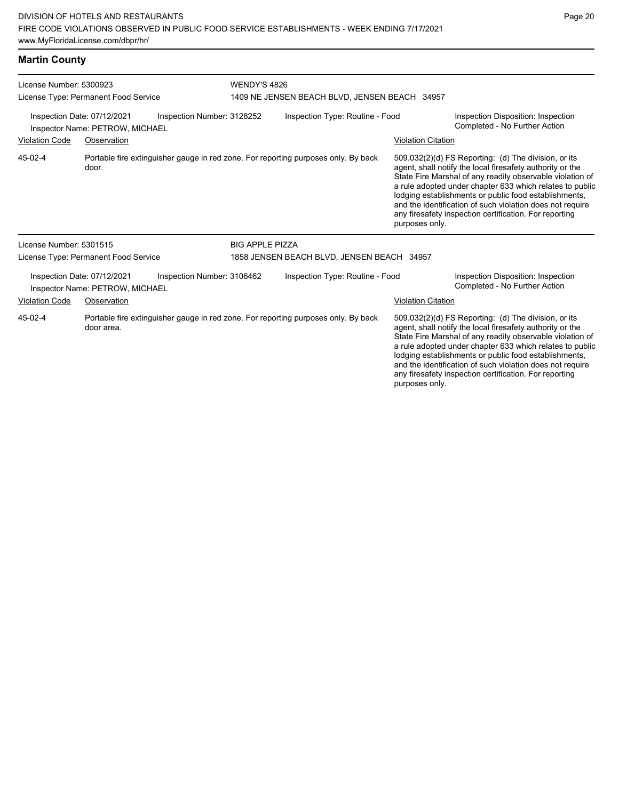## **Martin County**

| License Number: 5300923 |                                                                                             | <b>WENDY'S 4826</b>        |                                               |                                                                                    |                                                                                                                                                                                                                                                                                                                                                                                                                                              |                                                                                                                                                                                                                                                                                                                                                                                                                            |  |
|-------------------------|---------------------------------------------------------------------------------------------|----------------------------|-----------------------------------------------|------------------------------------------------------------------------------------|----------------------------------------------------------------------------------------------------------------------------------------------------------------------------------------------------------------------------------------------------------------------------------------------------------------------------------------------------------------------------------------------------------------------------------------------|----------------------------------------------------------------------------------------------------------------------------------------------------------------------------------------------------------------------------------------------------------------------------------------------------------------------------------------------------------------------------------------------------------------------------|--|
|                         | License Type: Permanent Food Service                                                        |                            | 1409 NE JENSEN BEACH BLVD, JENSEN BEACH 34957 |                                                                                    |                                                                                                                                                                                                                                                                                                                                                                                                                                              |                                                                                                                                                                                                                                                                                                                                                                                                                            |  |
|                         | Inspection Date: 07/12/2021<br>Inspector Name: PETROW, MICHAEL                              | Inspection Number: 3128252 |                                               | Inspection Type: Routine - Food                                                    |                                                                                                                                                                                                                                                                                                                                                                                                                                              | Inspection Disposition: Inspection<br>Completed - No Further Action                                                                                                                                                                                                                                                                                                                                                        |  |
| <b>Violation Code</b>   | Observation                                                                                 |                            |                                               |                                                                                    | <b>Violation Citation</b>                                                                                                                                                                                                                                                                                                                                                                                                                    |                                                                                                                                                                                                                                                                                                                                                                                                                            |  |
| 45-02-4                 | Portable fire extinguisher gauge in red zone. For reporting purposes only. By back<br>door. |                            |                                               |                                                                                    | 509.032(2)(d) FS Reporting: (d) The division, or its<br>agent, shall notify the local firesafety authority or the<br>State Fire Marshal of any readily observable violation of<br>a rule adopted under chapter 633 which relates to public<br>lodging establishments or public food establishments,<br>and the identification of such violation does not require<br>any firesafety inspection certification. For reporting<br>purposes only. |                                                                                                                                                                                                                                                                                                                                                                                                                            |  |
| License Number: 5301515 |                                                                                             |                            | <b>BIG APPLE PIZZA</b>                        |                                                                                    |                                                                                                                                                                                                                                                                                                                                                                                                                                              |                                                                                                                                                                                                                                                                                                                                                                                                                            |  |
|                         | License Type: Permanent Food Service                                                        |                            |                                               | 1858 JENSEN BEACH BLVD, JENSEN BEACH 34957                                         |                                                                                                                                                                                                                                                                                                                                                                                                                                              |                                                                                                                                                                                                                                                                                                                                                                                                                            |  |
|                         | Inspection Date: 07/12/2021<br>Inspector Name: PETROW, MICHAEL                              | Inspection Number: 3106462 |                                               | Inspection Type: Routine - Food                                                    |                                                                                                                                                                                                                                                                                                                                                                                                                                              | Inspection Disposition: Inspection<br>Completed - No Further Action                                                                                                                                                                                                                                                                                                                                                        |  |
| <b>Violation Code</b>   | Observation                                                                                 |                            |                                               |                                                                                    | <b>Violation Citation</b>                                                                                                                                                                                                                                                                                                                                                                                                                    |                                                                                                                                                                                                                                                                                                                                                                                                                            |  |
| 45-02-4                 | door area.                                                                                  |                            |                                               | Portable fire extinguisher gauge in red zone. For reporting purposes only. By back |                                                                                                                                                                                                                                                                                                                                                                                                                                              | 509.032(2)(d) FS Reporting: (d) The division, or its<br>agent, shall notify the local firesafety authority or the<br>State Fire Marshal of any readily observable violation of<br>a rule adopted under chapter 633 which relates to public<br>lodging establishments or public food establishments,<br>and the identification of such violation does not require<br>any firesafety inspection certification. For reporting |  |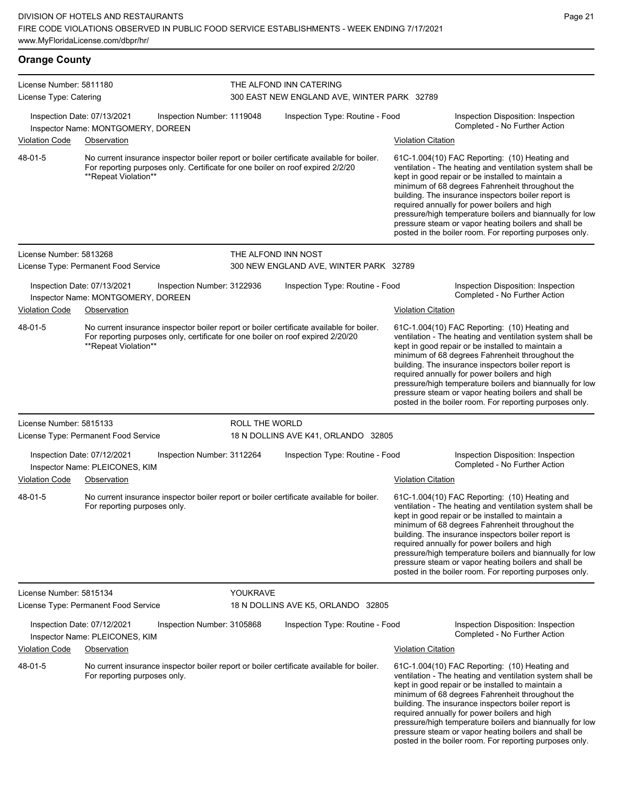| <b>Orange County</b>                              |                                                                                  |                                                                                |                |                                                                                                                                                                             |                           |                                                                                                                                                                                                                                                                                                                                                                                                                                                                                                          |  |
|---------------------------------------------------|----------------------------------------------------------------------------------|--------------------------------------------------------------------------------|----------------|-----------------------------------------------------------------------------------------------------------------------------------------------------------------------------|---------------------------|----------------------------------------------------------------------------------------------------------------------------------------------------------------------------------------------------------------------------------------------------------------------------------------------------------------------------------------------------------------------------------------------------------------------------------------------------------------------------------------------------------|--|
| License Number: 5811180<br>License Type: Catering |                                                                                  |                                                                                |                | THE ALFOND INN CATERING<br>300 EAST NEW ENGLAND AVE, WINTER PARK 32789                                                                                                      |                           |                                                                                                                                                                                                                                                                                                                                                                                                                                                                                                          |  |
| <b>Violation Code</b>                             | Inspection Date: 07/13/2021<br>Inspector Name: MONTGOMERY, DOREEN<br>Observation | Inspection Number: 1119048                                                     |                | Inspection Type: Routine - Food                                                                                                                                             | <b>Violation Citation</b> | Inspection Disposition: Inspection<br>Completed - No Further Action                                                                                                                                                                                                                                                                                                                                                                                                                                      |  |
| 48-01-5                                           | **Repeat Violation**                                                             | For reporting purposes only. Certificate for one boiler on roof expired 2/2/20 |                | No current insurance inspector boiler report or boiler certificate available for boiler.                                                                                    |                           | 61C-1.004(10) FAC Reporting: (10) Heating and<br>ventilation - The heating and ventilation system shall be<br>kept in good repair or be installed to maintain a<br>minimum of 68 degrees Fahrenheit throughout the<br>building. The insurance inspectors boiler report is<br>required annually for power boilers and high<br>pressure/high temperature boilers and biannually for low<br>pressure steam or vapor heating boilers and shall be<br>posted in the boiler room. For reporting purposes only. |  |
| License Number: 5813268                           |                                                                                  |                                                                                |                | THE ALFOND INN NOST                                                                                                                                                         |                           |                                                                                                                                                                                                                                                                                                                                                                                                                                                                                                          |  |
|                                                   | License Type: Permanent Food Service                                             |                                                                                |                | 300 NEW ENGLAND AVE, WINTER PARK 32789                                                                                                                                      |                           |                                                                                                                                                                                                                                                                                                                                                                                                                                                                                                          |  |
| <b>Violation Code</b>                             | Inspection Date: 07/13/2021<br>Inspector Name: MONTGOMERY, DOREEN<br>Observation | Inspection Number: 3122936                                                     |                | Inspection Type: Routine - Food                                                                                                                                             | <b>Violation Citation</b> | Inspection Disposition: Inspection<br>Completed - No Further Action                                                                                                                                                                                                                                                                                                                                                                                                                                      |  |
| 48-01-5                                           | **Repeat Violation**                                                             |                                                                                |                | No current insurance inspector boiler report or boiler certificate available for boiler.<br>For reporting purposes only, certificate for one boiler on roof expired 2/20/20 |                           | 61C-1.004(10) FAC Reporting: (10) Heating and<br>ventilation - The heating and ventilation system shall be<br>kept in good repair or be installed to maintain a<br>minimum of 68 degrees Fahrenheit throughout the<br>building. The insurance inspectors boiler report is<br>required annually for power boilers and high<br>pressure/high temperature boilers and biannually for low<br>pressure steam or vapor heating boilers and shall be<br>posted in the boiler room. For reporting purposes only. |  |
| License Number: 5815133                           | License Type: Permanent Food Service                                             |                                                                                | ROLL THE WORLD | 18 N DOLLINS AVE K41, ORLANDO 32805                                                                                                                                         |                           |                                                                                                                                                                                                                                                                                                                                                                                                                                                                                                          |  |
| <b>Violation Code</b>                             | Inspection Date: 07/12/2021<br>Inspector Name: PLEICONES, KIM<br>Observation     | Inspection Number: 3112264                                                     |                | Inspection Type: Routine - Food                                                                                                                                             | <b>Violation Citation</b> | Inspection Disposition: Inspection<br>Completed - No Further Action                                                                                                                                                                                                                                                                                                                                                                                                                                      |  |
| 48-01-5                                           | For reporting purposes only.                                                     |                                                                                |                | No current insurance inspector boiler report or boiler certificate available for boiler.                                                                                    |                           | 61C-1.004(10) FAC Reporting: (10) Heating and<br>ventilation - The heating and ventilation system shall be<br>kept in good repair or be installed to maintain a<br>minimum of 68 degrees Fahrenheit throughout the<br>building. The insurance inspectors boiler report is<br>required annually for power boilers and high<br>pressure/high temperature boilers and biannually for low<br>pressure steam or vapor heating boilers and shall be<br>posted in the boiler room. For reporting purposes only. |  |
| License Number: 5815134                           | License Type: Permanent Food Service                                             |                                                                                | YOUKRAVE       | 18 N DOLLINS AVE K5, ORLANDO 32805                                                                                                                                          |                           |                                                                                                                                                                                                                                                                                                                                                                                                                                                                                                          |  |
|                                                   | Inspection Date: 07/12/2021<br>Inspector Name: PLEICONES, KIM                    | Inspection Number: 3105868                                                     |                | Inspection Type: Routine - Food                                                                                                                                             |                           | Inspection Disposition: Inspection<br>Completed - No Further Action                                                                                                                                                                                                                                                                                                                                                                                                                                      |  |
| <b>Violation Code</b>                             | Observation                                                                      |                                                                                |                |                                                                                                                                                                             | <b>Violation Citation</b> |                                                                                                                                                                                                                                                                                                                                                                                                                                                                                                          |  |
| 48-01-5                                           | For reporting purposes only.                                                     |                                                                                |                | No current insurance inspector boiler report or boiler certificate available for boiler.                                                                                    |                           | 61C-1.004(10) FAC Reporting: (10) Heating and<br>ventilation - The heating and ventilation system shall be<br>kept in good repair or be installed to maintain a<br>minimum of 68 degrees Fahrenheit throughout the<br>building. The insurance inspectors boiler report is<br>required annually for power boilers and high<br>pressure/high temperature boilers and biannually for low<br>pressure steam or vapor heating boilers and shall be                                                            |  |

posted in the boiler room. For reporting purposes only.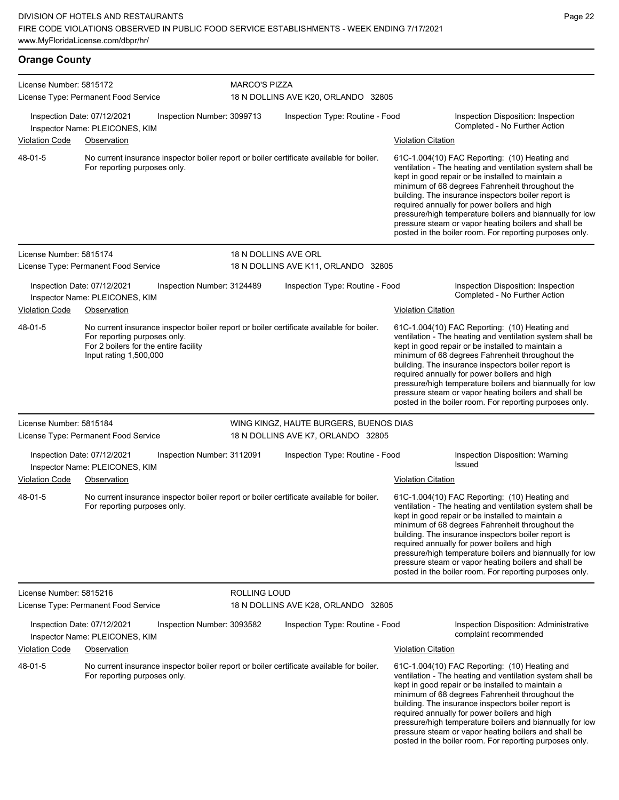#### **Orange County** License Number: 5815172 License Type: Permanent Food Service MARCO'S PIZZA 18 N DOLLINS AVE K20, ORLANDO 32805 Inspection Date: 07/12/2021 Inspection Number: 3099713 Inspection Type: Routine - Food Inspection Disposition: Inspection Completed - No Further Action Inspector Name: PLEICONES, KIM Violation Code Observation Violation Citation No current insurance inspector boiler report or boiler certificate available for boiler. For reporting purposes only. 61C-1.004(10) FAC Reporting: (10) Heating and ventilation - The heating and ventilation system shall be kept in good repair or be installed to maintain a minimum of 68 degrees Fahrenheit throughout the building. The insurance inspectors boiler report is required annually for power boilers and high pressure/high temperature boilers and biannually for low pressure steam or vapor heating boilers and shall be posted in the boiler room. For reporting purposes only. 48-01-5 License Number: 5815174 License Type: Permanent Food Service 18 N DOLLINS AVE ORL 18 N DOLLINS AVE K11, ORLANDO 32805 Inspection Date: 07/12/2021 Inspection Number: 3124489 Inspection Type: Routine - Food Inspection Disposition: Inspection<br>Inspector Name: PLEICONES KIM Inspector Name: PLEICONES, KIM Violation Code Observation Violation Citation No current insurance inspector boiler report or boiler certificate available for boiler. For reporting purposes only. For 2 boilers for the entire facility Input rating 1,500,000 61C-1.004(10) FAC Reporting: (10) Heating and ventilation - The heating and ventilation system shall be kept in good repair or be installed to maintain a minimum of 68 degrees Fahrenheit throughout the building. The insurance inspectors boiler report is required annually for power boilers and high pressure/high temperature boilers and biannually for low pressure steam or vapor heating boilers and shall be posted in the boiler room. For reporting purposes only. 48-01-5 License Number: 5815184 License Type: Permanent Food Service WING KINGZ, HAUTE BURGERS, BUENOS DIAS 18 N DOLLINS AVE K7, ORLANDO 32805 Inspection Date: 07/12/2021 Inspection Number: 3112091 Inspection Type: Routine - Food Inspection Disposition: Warning Inspector Name: PLEICONES, KIM Violation Code Observation Violation Citation No current insurance inspector boiler report or boiler certificate available for boiler. For reporting purposes only. 61C-1.004(10) FAC Reporting: (10) Heating and ventilation - The heating and ventilation system shall be kept in good repair or be installed to maintain a minimum of 68 degrees Fahrenheit throughout the building. The insurance inspectors boiler report is required annually for power boilers and high pressure/high temperature boilers and biannually for low pressure steam or vapor heating boilers and shall be posted in the boiler room. For reporting purposes only. 48-01-5 License Number: 5815216 License Type: Permanent Food Service ROLLING LOUD 18 N DOLLINS AVE K28, ORLANDO 32805 Inspection Date: 07/12/2021 Inspection Number: 3093582 Inspection Type: Routine - Food Inspection Disposition: Administrative complaint recommended Inspector Name: PLEICONES, KIM Violation Code Observation Violation Citation No current insurance inspector boiler report or boiler certificate available for boiler. For reporting purposes only. 61C-1.004(10) FAC Reporting: (10) Heating and ventilation - The heating and ventilation system shall be kept in good repair or be installed to maintain a minimum of 68 degrees Fahrenheit throughout the 48-01-5

building. The insurance inspectors boiler report is required annually for power boilers and high pressure/high temperature boilers and biannually for low pressure steam or vapor heating boilers and shall be posted in the boiler room. For reporting purposes only.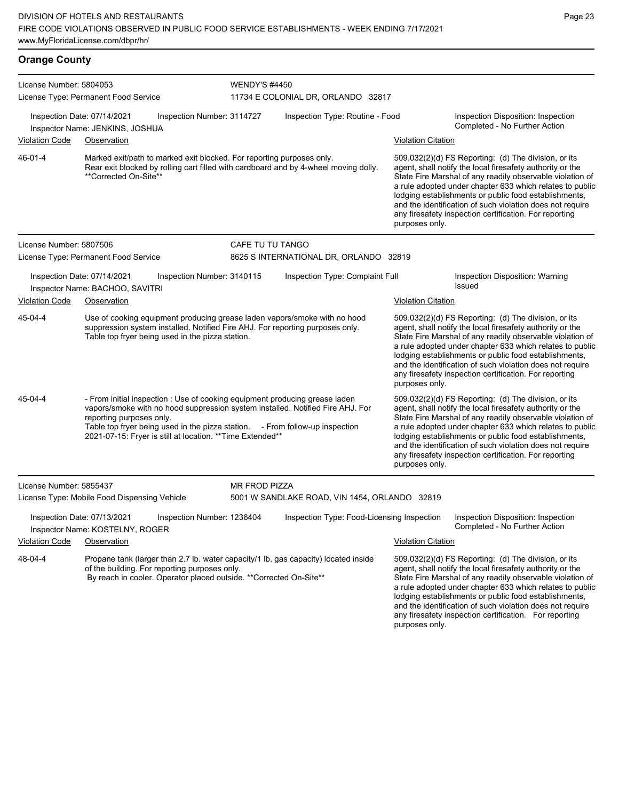| <b>Orange County</b>                                                                                                                                                                                                                                                                                                                               |                                                                                                                                                                                                                |                            |                                                                       |                                                                                                                                                                                                                                                                                                                                                                                                                                              |                                                                                                                                                                                                                                                                                                                                                                                                                            |  |
|----------------------------------------------------------------------------------------------------------------------------------------------------------------------------------------------------------------------------------------------------------------------------------------------------------------------------------------------------|----------------------------------------------------------------------------------------------------------------------------------------------------------------------------------------------------------------|----------------------------|-----------------------------------------------------------------------|----------------------------------------------------------------------------------------------------------------------------------------------------------------------------------------------------------------------------------------------------------------------------------------------------------------------------------------------------------------------------------------------------------------------------------------------|----------------------------------------------------------------------------------------------------------------------------------------------------------------------------------------------------------------------------------------------------------------------------------------------------------------------------------------------------------------------------------------------------------------------------|--|
| License Number: 5804053                                                                                                                                                                                                                                                                                                                            |                                                                                                                                                                                                                | <b>WENDY'S #4450</b>       |                                                                       |                                                                                                                                                                                                                                                                                                                                                                                                                                              |                                                                                                                                                                                                                                                                                                                                                                                                                            |  |
|                                                                                                                                                                                                                                                                                                                                                    | License Type: Permanent Food Service<br>Inspection Date: 07/14/2021<br>Inspector Name: JENKINS, JOSHUA                                                                                                         | Inspection Number: 3114727 | 11734 E COLONIAL DR, ORLANDO 32817<br>Inspection Type: Routine - Food |                                                                                                                                                                                                                                                                                                                                                                                                                                              | Inspection Disposition: Inspection<br>Completed - No Further Action                                                                                                                                                                                                                                                                                                                                                        |  |
| <b>Violation Code</b>                                                                                                                                                                                                                                                                                                                              | Observation                                                                                                                                                                                                    |                            |                                                                       | <b>Violation Citation</b>                                                                                                                                                                                                                                                                                                                                                                                                                    |                                                                                                                                                                                                                                                                                                                                                                                                                            |  |
| 46-01-4                                                                                                                                                                                                                                                                                                                                            | Marked exit/path to marked exit blocked. For reporting purposes only.<br>Rear exit blocked by rolling cart filled with cardboard and by 4-wheel moving dolly.<br>**Corrected On-Site**                         |                            |                                                                       | 509.032(2)(d) FS Reporting: (d) The division, or its<br>agent, shall notify the local firesafety authority or the<br>State Fire Marshal of any readily observable violation of<br>a rule adopted under chapter 633 which relates to public<br>lodging establishments or public food establishments,<br>and the identification of such violation does not require<br>any firesafety inspection certification. For reporting<br>purposes only. |                                                                                                                                                                                                                                                                                                                                                                                                                            |  |
| License Number: 5807506                                                                                                                                                                                                                                                                                                                            |                                                                                                                                                                                                                | CAFE TU TU TANGO           |                                                                       |                                                                                                                                                                                                                                                                                                                                                                                                                                              |                                                                                                                                                                                                                                                                                                                                                                                                                            |  |
|                                                                                                                                                                                                                                                                                                                                                    | License Type: Permanent Food Service                                                                                                                                                                           |                            | 8625 S INTERNATIONAL DR, ORLANDO 32819                                |                                                                                                                                                                                                                                                                                                                                                                                                                                              |                                                                                                                                                                                                                                                                                                                                                                                                                            |  |
|                                                                                                                                                                                                                                                                                                                                                    | Inspection Date: 07/14/2021<br>Inspector Name: BACHOO, SAVITRI                                                                                                                                                 | Inspection Number: 3140115 | Inspection Type: Complaint Full                                       |                                                                                                                                                                                                                                                                                                                                                                                                                                              | Inspection Disposition: Warning<br>Issued                                                                                                                                                                                                                                                                                                                                                                                  |  |
| <b>Violation Code</b>                                                                                                                                                                                                                                                                                                                              | Observation                                                                                                                                                                                                    |                            |                                                                       | <b>Violation Citation</b>                                                                                                                                                                                                                                                                                                                                                                                                                    |                                                                                                                                                                                                                                                                                                                                                                                                                            |  |
| 45-04-4                                                                                                                                                                                                                                                                                                                                            | Use of cooking equipment producing grease laden vapors/smoke with no hood<br>suppression system installed. Notified Fire AHJ. For reporting purposes only.<br>Table top fryer being used in the pizza station. |                            |                                                                       | purposes only.                                                                                                                                                                                                                                                                                                                                                                                                                               | 509.032(2)(d) FS Reporting: (d) The division, or its<br>agent, shall notify the local firesafety authority or the<br>State Fire Marshal of any readily observable violation of<br>a rule adopted under chapter 633 which relates to public<br>lodging establishments or public food establishments,<br>and the identification of such violation does not require<br>any firesafety inspection certification. For reporting |  |
| 45-04-4<br>- From initial inspection : Use of cooking equipment producing grease laden<br>vapors/smoke with no hood suppression system installed. Notified Fire AHJ. For<br>reporting purposes only.<br>Table top fryer being used in the pizza station. - From follow-up inspection<br>2021-07-15: Fryer is still at location. ** Time Extended** |                                                                                                                                                                                                                |                            |                                                                       |                                                                                                                                                                                                                                                                                                                                                                                                                                              | 509.032(2)(d) FS Reporting: (d) The division, or its<br>agent, shall notify the local firesafety authority or the<br>State Fire Marshal of any readily observable violation of<br>a rule adopted under chapter 633 which relates to public<br>lodging establishments or public food establishments,                                                                                                                        |  |

or the blation of to public lodging establishments or public food establishments, and the identification of such violation does not require any firesafety inspection certification. For reporting

|                                                                         |                                                                |                                                                     |                                               |                                                                                     | purposes only.            |                                                                                                                                                                                                                                                                                                                                                                                                                            |
|-------------------------------------------------------------------------|----------------------------------------------------------------|---------------------------------------------------------------------|-----------------------------------------------|-------------------------------------------------------------------------------------|---------------------------|----------------------------------------------------------------------------------------------------------------------------------------------------------------------------------------------------------------------------------------------------------------------------------------------------------------------------------------------------------------------------------------------------------------------------|
| License Number: 5855437<br>License Type: Mobile Food Dispensing Vehicle |                                                                |                                                                     | <b>MR FROD PIZZA</b>                          |                                                                                     |                           |                                                                                                                                                                                                                                                                                                                                                                                                                            |
|                                                                         |                                                                |                                                                     | 5001 W SANDLAKE ROAD, VIN 1454, ORLANDO 32819 |                                                                                     |                           |                                                                                                                                                                                                                                                                                                                                                                                                                            |
|                                                                         | Inspection Date: 07/13/2021<br>Inspector Name: KOSTELNY, ROGER | Inspection Number: 1236404                                          |                                               | Inspection Type: Food-Licensing Inspection                                          |                           | Inspection Disposition: Inspection<br>Completed - No Further Action                                                                                                                                                                                                                                                                                                                                                        |
| Violation Code                                                          | Observation                                                    |                                                                     |                                               |                                                                                     | <b>Violation Citation</b> |                                                                                                                                                                                                                                                                                                                                                                                                                            |
| 48-04-4                                                                 | of the building. For reporting purposes only.                  | By reach in cooler. Operator placed outside. ** Corrected On-Site** |                                               | Propane tank (larger than 2.7 lb. water capacity/1 lb. gas capacity) located inside |                           | 509.032(2)(d) FS Reporting: (d) The division, or its<br>agent, shall notify the local firesafety authority or the<br>State Fire Marshal of any readily observable violation of<br>a rule adopted under chapter 633 which relates to public<br>lodging establishments or public food establishments,<br>and the identification of such violation does not require<br>any firesafety inspection certification. For reporting |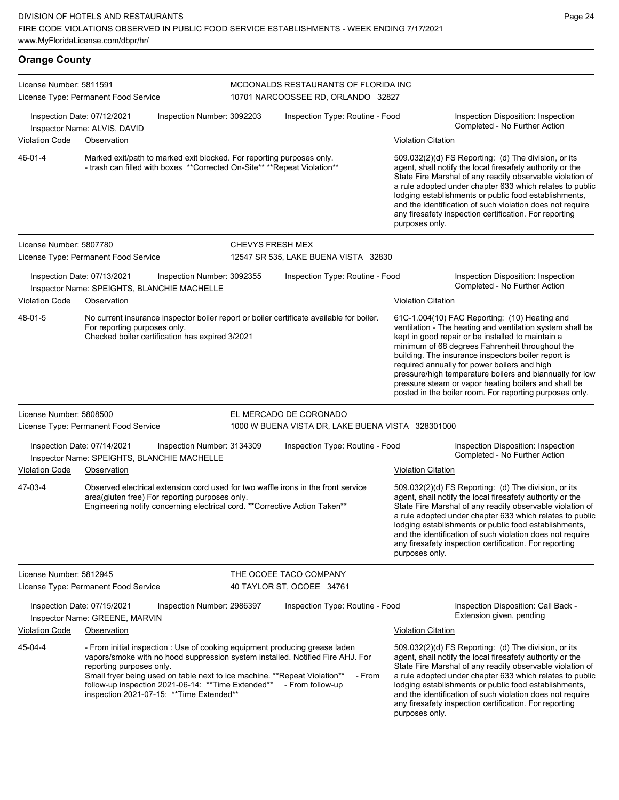| <b>Orange County</b>    |                                                                                                                                                                                                            |                            |                                                                                                                                                                                   |                                 |                                                                                                                                                |                                                                                                                                                                                                                                                                                                                                                                                                                                                                                                          |  |
|-------------------------|------------------------------------------------------------------------------------------------------------------------------------------------------------------------------------------------------------|----------------------------|-----------------------------------------------------------------------------------------------------------------------------------------------------------------------------------|---------------------------------|------------------------------------------------------------------------------------------------------------------------------------------------|----------------------------------------------------------------------------------------------------------------------------------------------------------------------------------------------------------------------------------------------------------------------------------------------------------------------------------------------------------------------------------------------------------------------------------------------------------------------------------------------------------|--|
| License Number: 5811591 | License Type: Permanent Food Service                                                                                                                                                                       |                            | MCDONALDS RESTAURANTS OF FLORIDA INC<br>10701 NARCOOSSEE RD, ORLANDO 32827                                                                                                        |                                 |                                                                                                                                                |                                                                                                                                                                                                                                                                                                                                                                                                                                                                                                          |  |
| <b>Violation Code</b>   | Inspection Date: 07/12/2021<br>Inspector Name: ALVIS, DAVID                                                                                                                                                | Inspection Number: 3092203 |                                                                                                                                                                                   | Inspection Type: Routine - Food |                                                                                                                                                | Inspection Disposition: Inspection<br>Completed - No Further Action                                                                                                                                                                                                                                                                                                                                                                                                                                      |  |
| 46-01-4                 | Observation<br>Marked exit/path to marked exit blocked. For reporting purposes only.<br>- trash can filled with boxes ** Corrected On-Site** ** Repeat Violation**                                         |                            |                                                                                                                                                                                   |                                 | <b>Violation Citation</b><br>509.032(2)(d) FS Reporting: (d) The division, or its<br>agent, shall notify the local firesafety authority or the |                                                                                                                                                                                                                                                                                                                                                                                                                                                                                                          |  |
|                         |                                                                                                                                                                                                            |                            |                                                                                                                                                                                   |                                 | purposes only.                                                                                                                                 | State Fire Marshal of any readily observable violation of<br>a rule adopted under chapter 633 which relates to public<br>lodging establishments or public food establishments,<br>and the identification of such violation does not require<br>any firesafety inspection certification. For reporting                                                                                                                                                                                                    |  |
| License Number: 5807780 |                                                                                                                                                                                                            |                            | <b>CHEVYS FRESH MEX</b>                                                                                                                                                           |                                 |                                                                                                                                                |                                                                                                                                                                                                                                                                                                                                                                                                                                                                                                          |  |
|                         | License Type: Permanent Food Service                                                                                                                                                                       |                            | 12547 SR 535, LAKE BUENA VISTA 32830                                                                                                                                              |                                 |                                                                                                                                                |                                                                                                                                                                                                                                                                                                                                                                                                                                                                                                          |  |
|                         | Inspection Date: 07/13/2021<br>Inspector Name: SPEIGHTS, BLANCHIE MACHELLE                                                                                                                                 | Inspection Number: 3092355 | Inspection Type: Routine - Food                                                                                                                                                   |                                 |                                                                                                                                                | Inspection Disposition: Inspection<br>Completed - No Further Action                                                                                                                                                                                                                                                                                                                                                                                                                                      |  |
| <b>Violation Code</b>   | Observation                                                                                                                                                                                                |                            |                                                                                                                                                                                   |                                 | <b>Violation Citation</b>                                                                                                                      |                                                                                                                                                                                                                                                                                                                                                                                                                                                                                                          |  |
| 48-01-5                 | For reporting purposes only.<br>Checked boiler certification has expired 3/2021                                                                                                                            |                            | No current insurance inspector boiler report or boiler certificate available for boiler.                                                                                          |                                 |                                                                                                                                                | 61C-1.004(10) FAC Reporting: (10) Heating and<br>ventilation - The heating and ventilation system shall be<br>kept in good repair or be installed to maintain a<br>minimum of 68 degrees Fahrenheit throughout the<br>building. The insurance inspectors boiler report is<br>required annually for power boilers and high<br>pressure/high temperature boilers and biannually for low<br>pressure steam or vapor heating boilers and shall be<br>posted in the boiler room. For reporting purposes only. |  |
| License Number: 5808500 |                                                                                                                                                                                                            |                            | EL MERCADO DE CORONADO                                                                                                                                                            |                                 |                                                                                                                                                |                                                                                                                                                                                                                                                                                                                                                                                                                                                                                                          |  |
|                         | License Type: Permanent Food Service                                                                                                                                                                       |                            | 1000 W BUENA VISTA DR, LAKE BUENA VISTA 328301000                                                                                                                                 |                                 |                                                                                                                                                |                                                                                                                                                                                                                                                                                                                                                                                                                                                                                                          |  |
|                         | Inspection Date: 07/14/2021<br>Inspector Name: SPEIGHTS, BLANCHIE MACHELLE                                                                                                                                 | Inspection Number: 3134309 | Inspection Type: Routine - Food                                                                                                                                                   |                                 |                                                                                                                                                | Inspection Disposition: Inspection<br>Completed - No Further Action                                                                                                                                                                                                                                                                                                                                                                                                                                      |  |
| <b>Violation Code</b>   | Observation                                                                                                                                                                                                |                            |                                                                                                                                                                                   |                                 | <b>Violation Citation</b>                                                                                                                      |                                                                                                                                                                                                                                                                                                                                                                                                                                                                                                          |  |
| 47-03-4                 | area(gluten free) For reporting purposes only.                                                                                                                                                             |                            | Observed electrical extension cord used for two waffle irons in the front service<br>Engineering notify concerning electrical cord. ** Corrective Action Taken**                  |                                 | purposes only.                                                                                                                                 | 509.032(2)(d) FS Reporting: (d) The division, or its<br>agent, shall notify the local firesafety authority or the<br>State Fire Marshal of any readily observable violation of<br>a rule adopted under chapter 633 which relates to public<br>lodging establishments or public food establishments,<br>and the identification of such violation does not require<br>any firesafety inspection certification. For reporting                                                                               |  |
| License Number: 5812945 | License Type: Permanent Food Service                                                                                                                                                                       |                            | THE OCOEE TACO COMPANY<br>40 TAYLOR ST, OCOEE 34761                                                                                                                               |                                 |                                                                                                                                                |                                                                                                                                                                                                                                                                                                                                                                                                                                                                                                          |  |
|                         | Inspection Date: 07/15/2021<br>Inspector Name: GREENE, MARVIN                                                                                                                                              | Inspection Number: 2986397 | Inspection Type: Routine - Food                                                                                                                                                   |                                 |                                                                                                                                                | Inspection Disposition: Call Back -<br>Extension given, pending                                                                                                                                                                                                                                                                                                                                                                                                                                          |  |
| <b>Violation Code</b>   | <u>Observation</u>                                                                                                                                                                                         |                            |                                                                                                                                                                                   |                                 | Violation Citation                                                                                                                             |                                                                                                                                                                                                                                                                                                                                                                                                                                                                                                          |  |
| 45-04-4                 | reporting purposes only.<br>Small fryer being used on table next to ice machine. ** Repeat Violation**<br>follow-up inspection 2021-06-14: ** Time Extended**<br>inspection 2021-07-15: ** Time Extended** |                            | - From initial inspection : Use of cooking equipment producing grease laden<br>vapors/smoke with no hood suppression system installed. Notified Fire AHJ. For<br>- From follow-up | - From                          |                                                                                                                                                | 509.032(2)(d) FS Reporting: (d) The division, or its<br>agent, shall notify the local firesafety authority or the<br>State Fire Marshal of any readily observable violation of<br>a rule adopted under chapter 633 which relates to public<br>lodging establishments or public food establishments,<br>and the identification of such violation does not require                                                                                                                                         |  |

any firesafety inspection certification. For reporting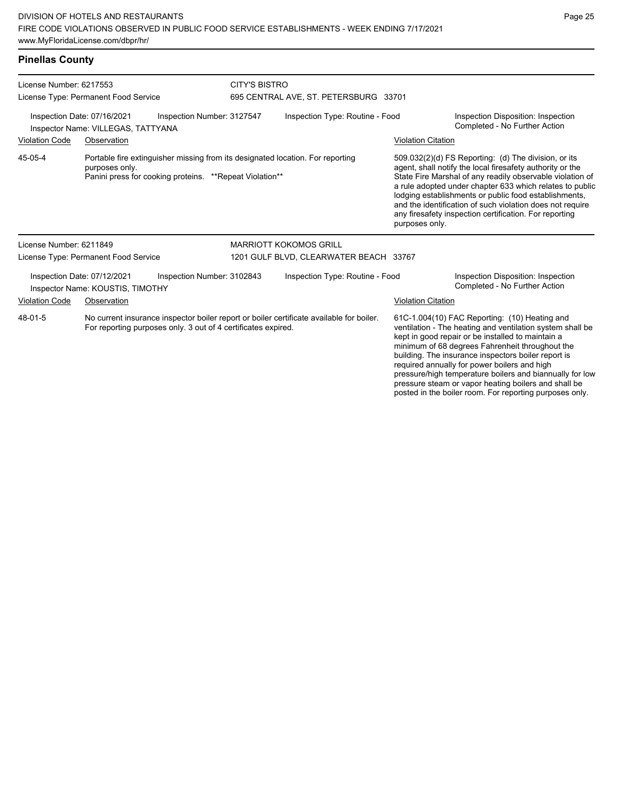### **Pinellas County**

| License Number: 6217553                                                                                                                                              | License Type: Permanent Food Service                                                                                                                        |                            | <b>CITY'S BISTRO</b><br>695 CENTRAL AVE, ST. PETERSBURG 33701 |                                                                                                                                                                                                                                                                                                                                                                                                                                              |                                                                                                                                                                                                                                                                                                                           |                                                                     |  |
|----------------------------------------------------------------------------------------------------------------------------------------------------------------------|-------------------------------------------------------------------------------------------------------------------------------------------------------------|----------------------------|---------------------------------------------------------------|----------------------------------------------------------------------------------------------------------------------------------------------------------------------------------------------------------------------------------------------------------------------------------------------------------------------------------------------------------------------------------------------------------------------------------------------|---------------------------------------------------------------------------------------------------------------------------------------------------------------------------------------------------------------------------------------------------------------------------------------------------------------------------|---------------------------------------------------------------------|--|
|                                                                                                                                                                      | Inspection Date: 07/16/2021<br>Inspector Name: VILLEGAS, TATTYANA                                                                                           | Inspection Number: 3127547 | Inspection Type: Routine - Food                               |                                                                                                                                                                                                                                                                                                                                                                                                                                              |                                                                                                                                                                                                                                                                                                                           | Inspection Disposition: Inspection<br>Completed - No Further Action |  |
| <b>Violation Code</b>                                                                                                                                                | Observation                                                                                                                                                 |                            |                                                               |                                                                                                                                                                                                                                                                                                                                                                                                                                              | <b>Violation Citation</b>                                                                                                                                                                                                                                                                                                 |                                                                     |  |
| 45-05-4                                                                                                                                                              | Portable fire extinguisher missing from its designated location. For reporting<br>purposes only.<br>Panini press for cooking proteins. **Repeat Violation** |                            |                                                               | 509.032(2)(d) FS Reporting: (d) The division, or its<br>agent, shall notify the local firesafety authority or the<br>State Fire Marshal of any readily observable violation of<br>a rule adopted under chapter 633 which relates to public<br>lodging establishments or public food establishments,<br>and the identification of such violation does not require<br>any firesafety inspection certification. For reporting<br>purposes only. |                                                                                                                                                                                                                                                                                                                           |                                                                     |  |
| License Number: 6211849                                                                                                                                              |                                                                                                                                                             |                            |                                                               | <b>MARRIOTT KOKOMOS GRILL</b>                                                                                                                                                                                                                                                                                                                                                                                                                |                                                                                                                                                                                                                                                                                                                           |                                                                     |  |
|                                                                                                                                                                      | License Type: Permanent Food Service                                                                                                                        |                            |                                                               | 1201 GULF BLVD, CLEARWATER BEACH 33767                                                                                                                                                                                                                                                                                                                                                                                                       |                                                                                                                                                                                                                                                                                                                           |                                                                     |  |
|                                                                                                                                                                      | Inspection Date: 07/12/2021<br>Inspector Name: KOUSTIS, TIMOTHY                                                                                             | Inspection Number: 3102843 |                                                               | Inspection Type: Routine - Food                                                                                                                                                                                                                                                                                                                                                                                                              |                                                                                                                                                                                                                                                                                                                           | Inspection Disposition: Inspection<br>Completed - No Further Action |  |
| <b>Violation Code</b><br>Observation                                                                                                                                 |                                                                                                                                                             |                            |                                                               |                                                                                                                                                                                                                                                                                                                                                                                                                                              | <b>Violation Citation</b>                                                                                                                                                                                                                                                                                                 |                                                                     |  |
| 48-01-5<br>No current insurance inspector boiler report or boiler certificate available for boiler.<br>For reporting purposes only. 3 out of 4 certificates expired. |                                                                                                                                                             |                            |                                                               |                                                                                                                                                                                                                                                                                                                                                                                                                                              | 61C-1.004(10) FAC Reporting: (10) Heating and<br>ventilation - The heating and ventilation system shall be<br>kept in good repair or be installed to maintain a<br>minimum of 68 degrees Fahrenheit throughout the<br>building. The insurance inspectors boiler report is<br>required annually for power boilers and high |                                                                     |  |

pressure/high temperature boilers and biannually for low pressure steam or vapor heating boilers and shall be posted in the boiler room. For reporting purposes only.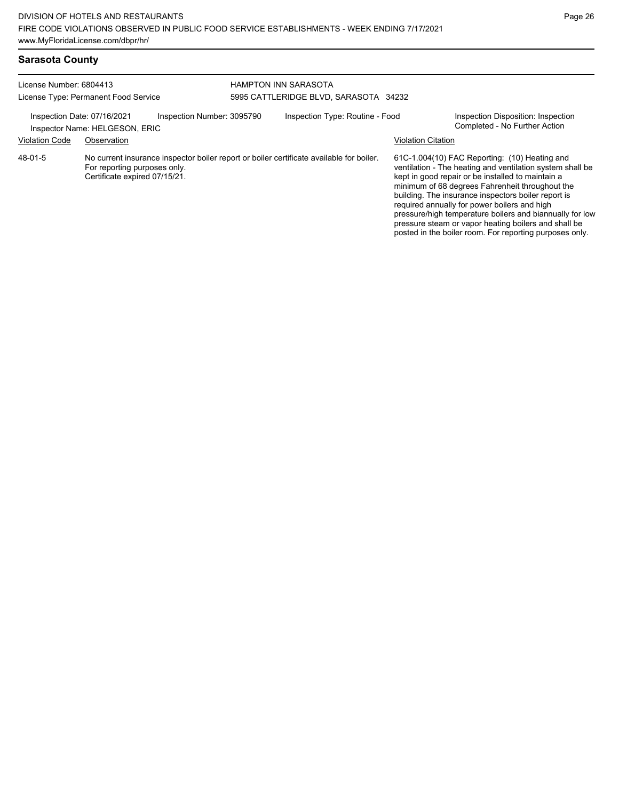posted in the boiler room. For reporting purposes only.

| <b>Sarasota County</b>                                          |                                                                                                                                                           |                            |                                                               |                                 |                                                                                                                                                                                                                                                                                                                                                                                                                                               |                                                                     |
|-----------------------------------------------------------------|-----------------------------------------------------------------------------------------------------------------------------------------------------------|----------------------------|---------------------------------------------------------------|---------------------------------|-----------------------------------------------------------------------------------------------------------------------------------------------------------------------------------------------------------------------------------------------------------------------------------------------------------------------------------------------------------------------------------------------------------------------------------------------|---------------------------------------------------------------------|
| License Number: 6804413<br>License Type: Permanent Food Service |                                                                                                                                                           |                            | HAMPTON INN SARASOTA<br>5995 CATTLERIDGE BLVD, SARASOTA 34232 |                                 |                                                                                                                                                                                                                                                                                                                                                                                                                                               |                                                                     |
|                                                                 | Inspection Date: 07/16/2021<br>Inspector Name: HELGESON, ERIC                                                                                             | Inspection Number: 3095790 |                                                               | Inspection Type: Routine - Food |                                                                                                                                                                                                                                                                                                                                                                                                                                               | Inspection Disposition: Inspection<br>Completed - No Further Action |
| <b>Violation Code</b>                                           | Observation                                                                                                                                               |                            |                                                               |                                 | <b>Violation Citation</b>                                                                                                                                                                                                                                                                                                                                                                                                                     |                                                                     |
| 48-01-5                                                         | No current insurance inspector boiler report or boiler certificate available for boiler.<br>For reporting purposes only.<br>Certificate expired 07/15/21. |                            |                                                               |                                 | 61C-1.004(10) FAC Reporting: (10) Heating and<br>ventilation - The heating and ventilation system shall be<br>kept in good repair or be installed to maintain a<br>minimum of 68 degrees Fahrenheit throughout the<br>building. The insurance inspectors boiler report is<br>required annually for power boilers and high<br>pressure/high temperature boilers and biannually for low<br>pressure steam or vapor heating boilers and shall be |                                                                     |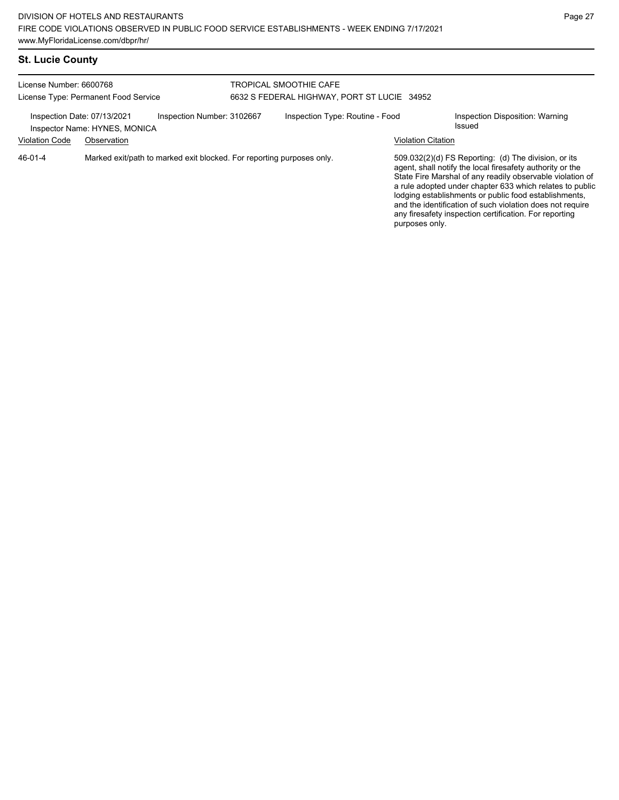# **St. Lucie County**

| License Number: 6600768<br>License Type: Permanent Food Service                            |             |                                                                       | TROPICAL SMOOTHIE CAFE<br>6632 S FEDERAL HIGHWAY, PORT ST LUCIE 34952 |                                 |                                                                                                                                                                                                                                                                                                                                                                                                                                              |                                           |  |
|--------------------------------------------------------------------------------------------|-------------|-----------------------------------------------------------------------|-----------------------------------------------------------------------|---------------------------------|----------------------------------------------------------------------------------------------------------------------------------------------------------------------------------------------------------------------------------------------------------------------------------------------------------------------------------------------------------------------------------------------------------------------------------------------|-------------------------------------------|--|
| Inspection Number: 3102667<br>Inspection Date: 07/13/2021<br>Inspector Name: HYNES, MONICA |             |                                                                       |                                                                       | Inspection Type: Routine - Food |                                                                                                                                                                                                                                                                                                                                                                                                                                              | Inspection Disposition: Warning<br>Issued |  |
| <b>Violation Code</b>                                                                      | Observation |                                                                       |                                                                       |                                 | <b>Violation Citation</b>                                                                                                                                                                                                                                                                                                                                                                                                                    |                                           |  |
| $46 - 01 - 4$                                                                              |             | Marked exit/path to marked exit blocked. For reporting purposes only. |                                                                       |                                 | 509.032(2)(d) FS Reporting: (d) The division, or its<br>agent, shall notify the local firesafety authority or the<br>State Fire Marshal of any readily observable violation of<br>a rule adopted under chapter 633 which relates to public<br>lodging establishments or public food establishments,<br>and the identification of such violation does not require<br>any firesafety inspection certification. For reporting<br>purposes only. |                                           |  |